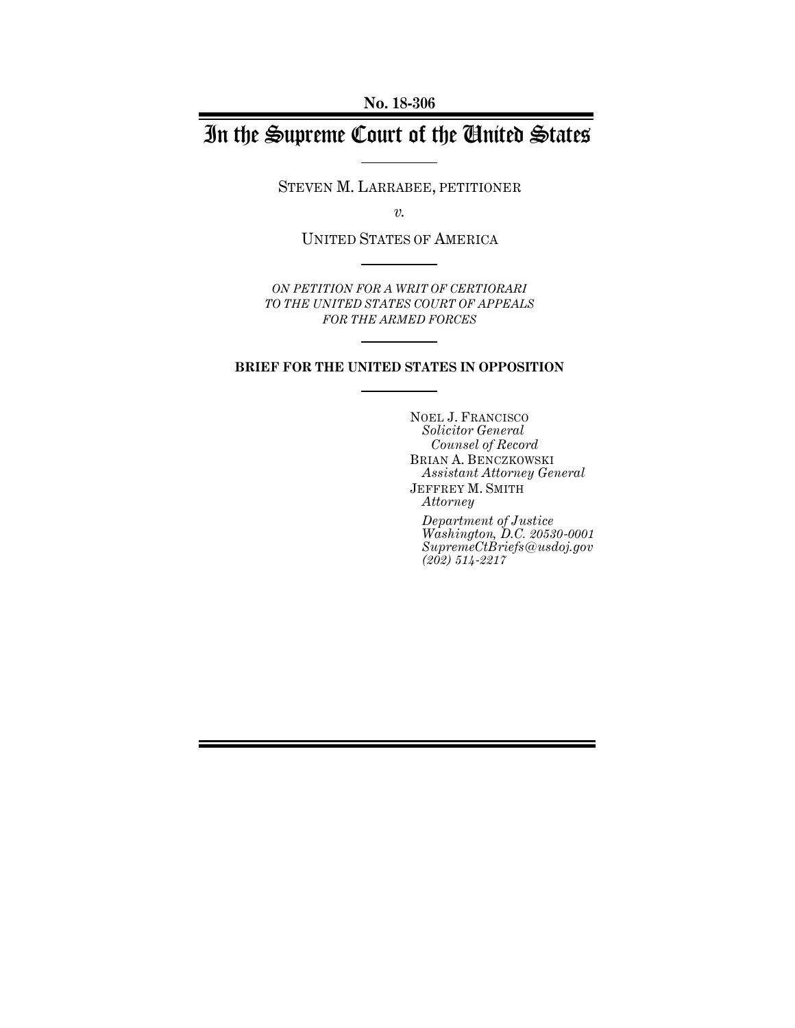**No. 18-306**

# In the Supreme Court of the United States

STEVEN M. LARRABEE, PETITIONER

*v.*

UNITED STATES OF AMERICA

*ON PETITION FOR A WRIT OF CERTIORARI TO THE UNITED STATES COURT OF APPEALS FOR THE ARMED FORCES*

### **BRIEF FOR THE UNITED STATES IN OPPOSITION**

NOEL J. FRANCISCO *Solicitor General Counsel of Record* BRIAN A. BENCZKOWSKI *Assistant Attorney General* JEFFREY M. SMITH *Attorney*

*Department of Justice Washington, D.C. 20530-0001 SupremeCtBriefs@usdoj.gov (202) 514-2217*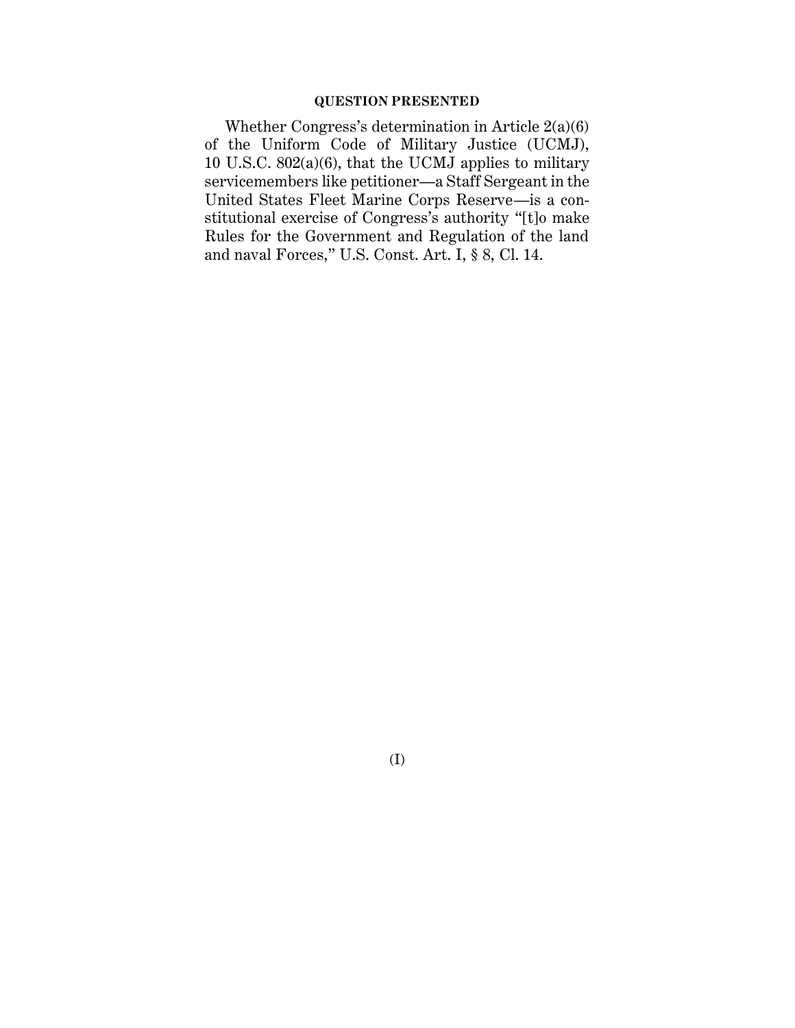### **QUESTION PRESENTED**

Whether Congress's determination in Article 2(a)(6) of the Uniform Code of Military Justice (UCMJ), 10 U.S.C. 802(a)(6), that the UCMJ applies to military servicemembers like petitioner—a Staff Sergeant in the United States Fleet Marine Corps Reserve—is a constitutional exercise of Congress's authority "[t]o make Rules for the Government and Regulation of the land and naval Forces," U.S. Const. Art. I, § 8, Cl. 14.

(I)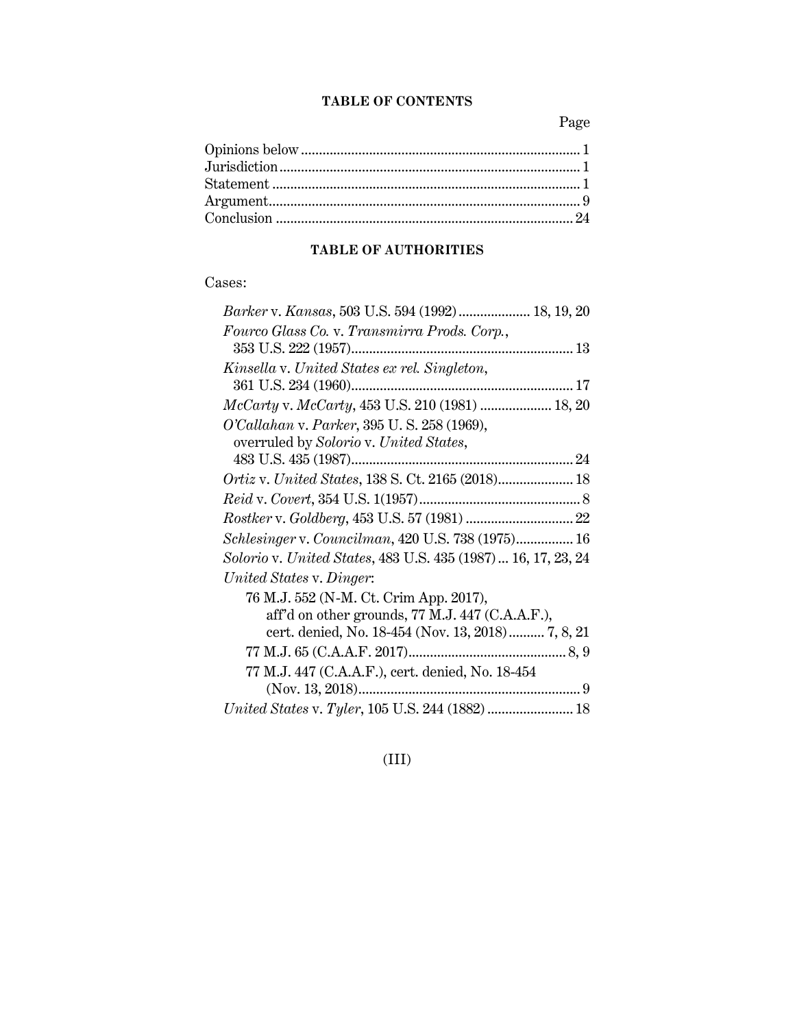### **TABLE OF CONTENTS**

Page

## **TABLE OF AUTHORITIES**

## Cases:

| Barker v. Kansas, 503 U.S. 594 (1992) 18, 19, 20              |
|---------------------------------------------------------------|
| Fourco Glass Co. v. Transmirra Prods. Corp.,                  |
|                                                               |
| Kinsella v. United States ex rel. Singleton,                  |
|                                                               |
| $McCarthy$ v. $McCarthy$ , 453 U.S. 210 (1981)  18, 20        |
| O'Callahan v. Parker, 395 U.S. 258 (1969),                    |
| overruled by Solorio v. United States,                        |
|                                                               |
|                                                               |
|                                                               |
|                                                               |
| Schlesinger v. Councilman, 420 U.S. 738 (1975) 16             |
| Solorio v. United States, 483 U.S. 435 (1987)  16, 17, 23, 24 |
| United States v. Dinger:                                      |
| 76 M.J. 552 (N-M. Ct. Crim App. 2017),                        |
| aff'd on other grounds, 77 M.J. 447 (C.A.A.F.),               |
| cert. denied, No. 18-454 (Nov. 13, 2018) 7, 8, 21             |
|                                                               |
| 77 M.J. 447 (C.A.A.F.), cert. denied, No. 18-454              |
|                                                               |
| United States v. Tyler, 105 U.S. 244 (1882)  18               |
|                                                               |

## (III)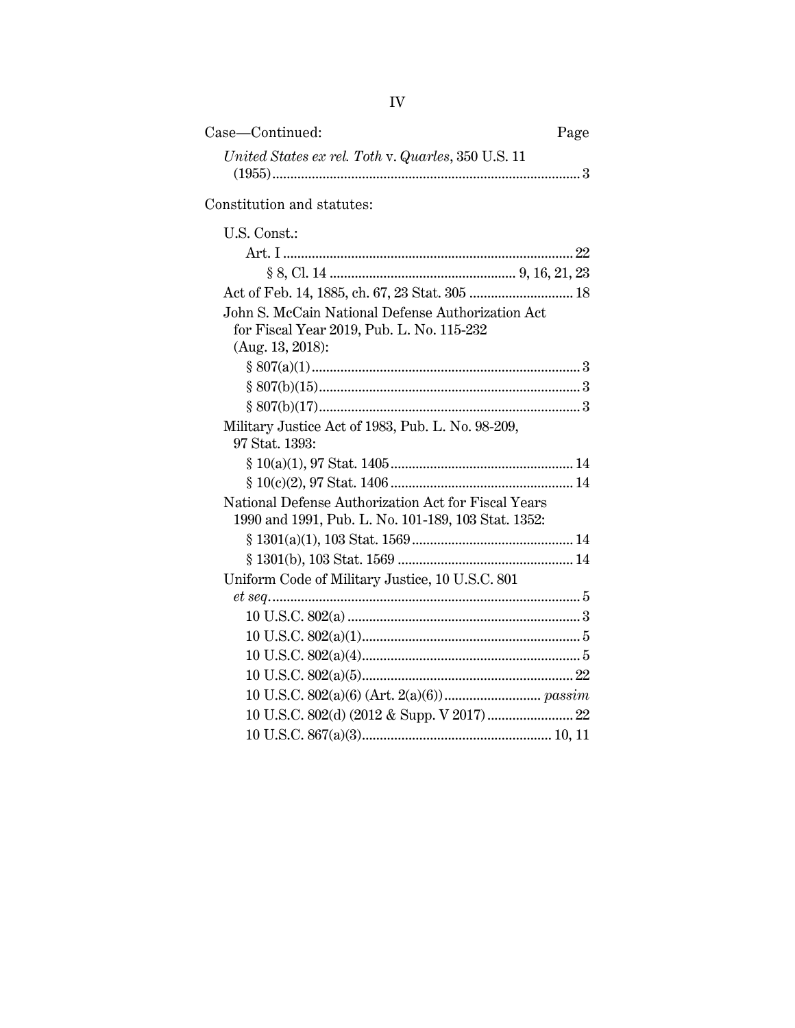| Case-Continued:                                                                                            | Page |
|------------------------------------------------------------------------------------------------------------|------|
| United States ex rel. Toth v. Quarles, 350 U.S. 11                                                         |      |
| Constitution and statutes:                                                                                 |      |
| U.S. Const.:                                                                                               |      |
|                                                                                                            |      |
|                                                                                                            |      |
|                                                                                                            |      |
| John S. McCain National Defense Authorization Act                                                          |      |
| for Fiscal Year 2019, Pub. L. No. 115-232                                                                  |      |
| $(Aug. 13, 2018)$ :                                                                                        |      |
|                                                                                                            |      |
|                                                                                                            |      |
|                                                                                                            |      |
| Military Justice Act of 1983, Pub. L. No. 98-209,<br>97 Stat. 1393:                                        |      |
|                                                                                                            |      |
|                                                                                                            |      |
| National Defense Authorization Act for Fiscal Years<br>1990 and 1991, Pub. L. No. 101-189, 103 Stat. 1352: |      |
|                                                                                                            |      |
|                                                                                                            |      |
| Uniform Code of Military Justice, 10 U.S.C. 801                                                            |      |
|                                                                                                            |      |
|                                                                                                            |      |
|                                                                                                            |      |
|                                                                                                            |      |
|                                                                                                            |      |
|                                                                                                            |      |
|                                                                                                            |      |
|                                                                                                            |      |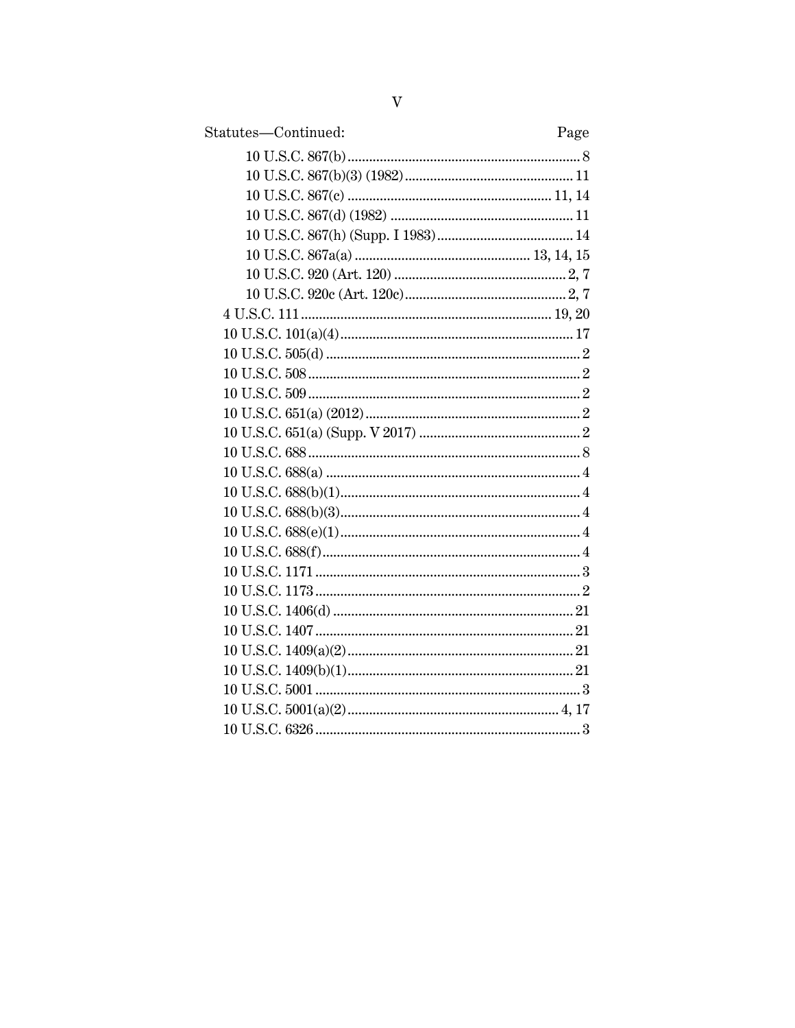| Statutes-Continued: | Page |
|---------------------|------|
|                     |      |
|                     |      |
|                     |      |
|                     |      |
|                     |      |
|                     |      |
|                     |      |
|                     |      |
|                     |      |
|                     |      |
|                     |      |
|                     |      |
|                     |      |
|                     |      |
|                     |      |
|                     |      |
|                     |      |
|                     |      |
|                     |      |
|                     |      |
|                     |      |
|                     |      |
|                     |      |
|                     |      |
|                     |      |
|                     |      |
|                     |      |
|                     |      |
|                     |      |
|                     |      |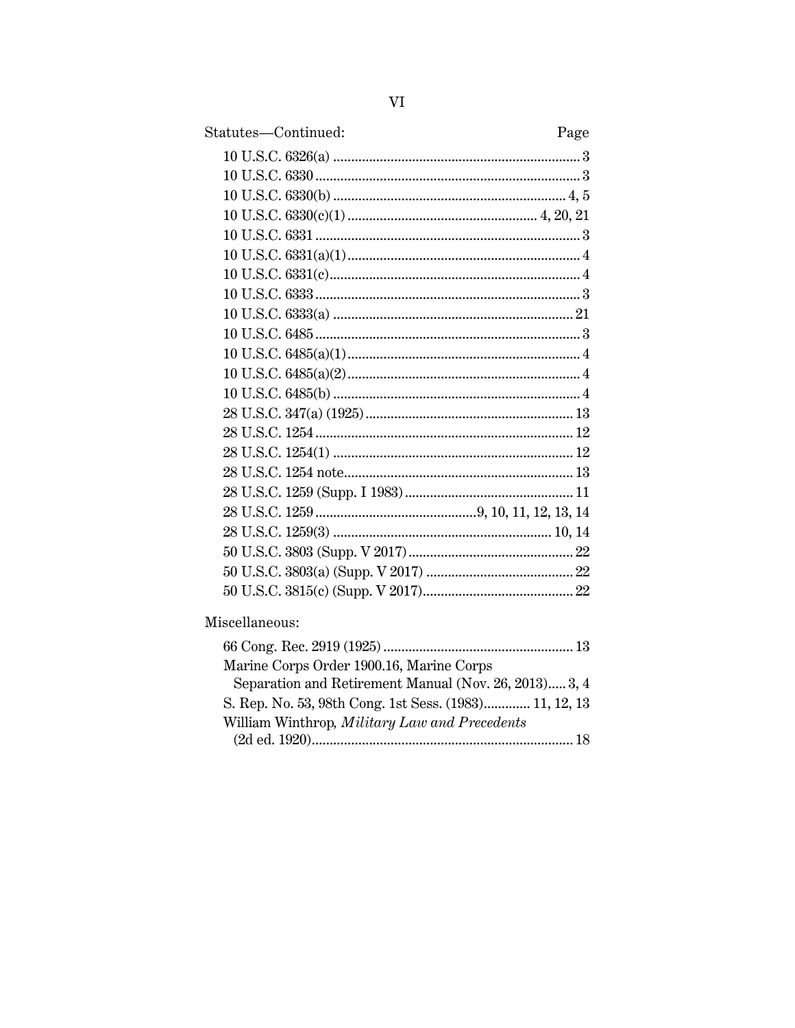| Statutes-Continued: | Page |
|---------------------|------|
|                     |      |
|                     |      |
|                     |      |
|                     |      |
|                     |      |
|                     |      |
|                     |      |
|                     |      |
|                     |      |
|                     |      |
|                     |      |
|                     |      |
|                     |      |
|                     |      |
|                     |      |
|                     |      |
|                     |      |
|                     |      |
|                     |      |
|                     |      |
|                     |      |
|                     |      |
|                     |      |
|                     |      |

## Miscellaneous:

| Marine Corps Order 1900.16, Marine Corps               |  |
|--------------------------------------------------------|--|
| Separation and Retirement Manual (Nov. 26, 2013) 3, 4  |  |
| S. Rep. No. 53, 98th Cong. 1st Sess. (1983) 11, 12, 13 |  |
| William Winthrop, Military Law and Precedents          |  |
|                                                        |  |
|                                                        |  |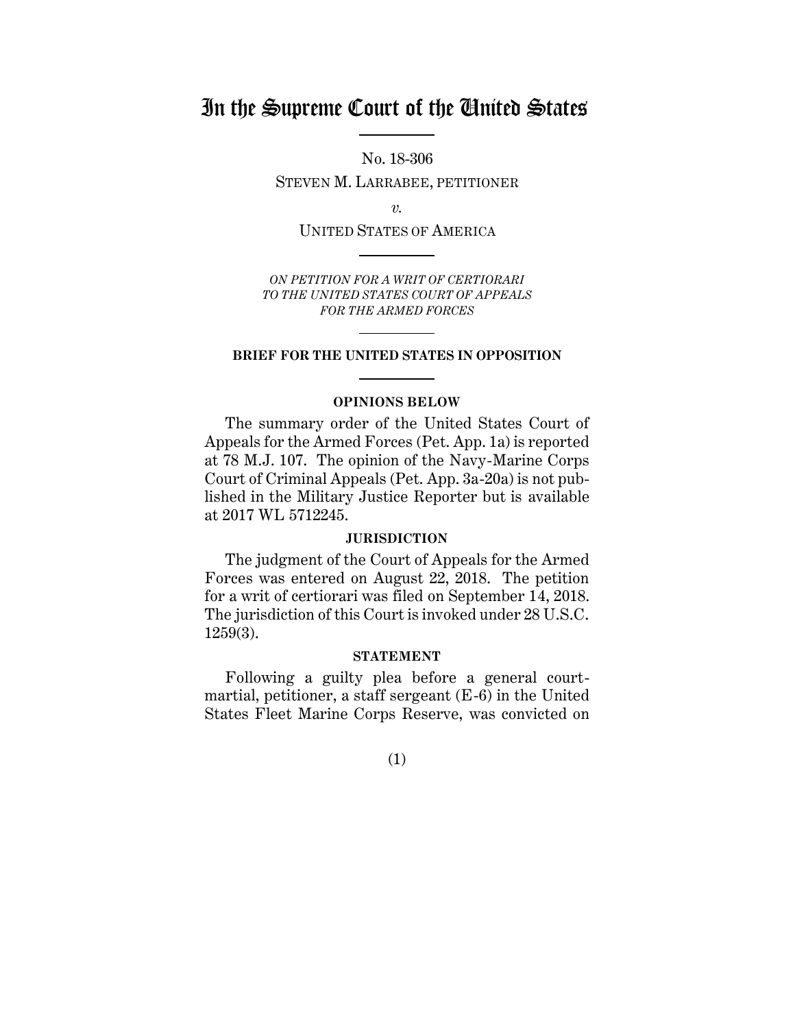## In the Supreme Court of the United States

No. 18-306

STEVEN M. LARRABEE, PETITIONER

*v.*

UNITED STATES OF AMERICA

*ON PETITION FOR A WRIT OF CERTIORARI TO THE UNITED STATES COURT OF APPEALS FOR THE ARMED FORCES*

### **BRIEF FOR THE UNITED STATES IN OPPOSITION**

### **OPINIONS BELOW**

The summary order of the United States Court of Appeals for the Armed Forces (Pet. App. 1a) is reported at 78 M.J. 107. The opinion of the Navy-Marine Corps Court of Criminal Appeals (Pet. App. 3a-20a) is not published in the Military Justice Reporter but is available at 2017 WL 5712245.

### **JURISDICTION**

The judgment of the Court of Appeals for the Armed Forces was entered on August 22, 2018. The petition for a writ of certiorari was filed on September 14, 2018. The jurisdiction of this Court is invoked under 28 U.S.C. 1259(3).

### **STATEMENT**

Following a guilty plea before a general courtmartial, petitioner, a staff sergeant (E-6) in the United States Fleet Marine Corps Reserve, was convicted on

(1)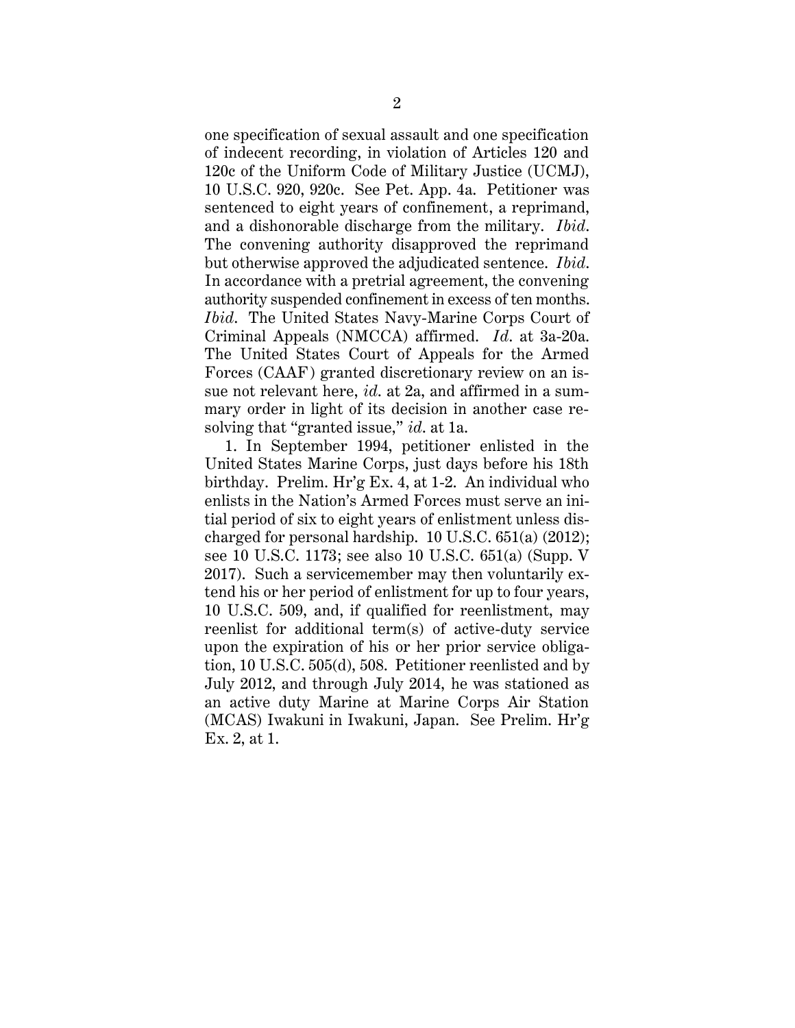one specification of sexual assault and one specification of indecent recording, in violation of Articles 120 and 120c of the Uniform Code of Military Justice (UCMJ), 10 U.S.C. 920, 920c. See Pet. App. 4a. Petitioner was sentenced to eight years of confinement, a reprimand, and a dishonorable discharge from the military. *Ibid*. The convening authority disapproved the reprimand but otherwise approved the adjudicated sentence. *Ibid*. In accordance with a pretrial agreement, the convening authority suspended confinement in excess of ten months. *Ibid*. The United States Navy-Marine Corps Court of Criminal Appeals (NMCCA) affirmed. *Id*. at 3a-20a. The United States Court of Appeals for the Armed Forces (CAAF) granted discretionary review on an issue not relevant here, *id*. at 2a, and affirmed in a summary order in light of its decision in another case resolving that "granted issue," *id*. at 1a.

1. In September 1994, petitioner enlisted in the United States Marine Corps, just days before his 18th birthday. Prelim. Hr'g Ex. 4, at 1-2. An individual who enlists in the Nation's Armed Forces must serve an initial period of six to eight years of enlistment unless discharged for personal hardship. 10 U.S.C. 651(a) (2012); see 10 U.S.C. 1173; see also 10 U.S.C. 651(a) (Supp. V 2017). Such a servicemember may then voluntarily extend his or her period of enlistment for up to four years, 10 U.S.C. 509, and, if qualified for reenlistment, may reenlist for additional term(s) of active-duty service upon the expiration of his or her prior service obligation, 10 U.S.C. 505(d), 508. Petitioner reenlisted and by July 2012, and through July 2014, he was stationed as an active duty Marine at Marine Corps Air Station (MCAS) Iwakuni in Iwakuni, Japan. See Prelim. Hr'g Ex. 2, at 1.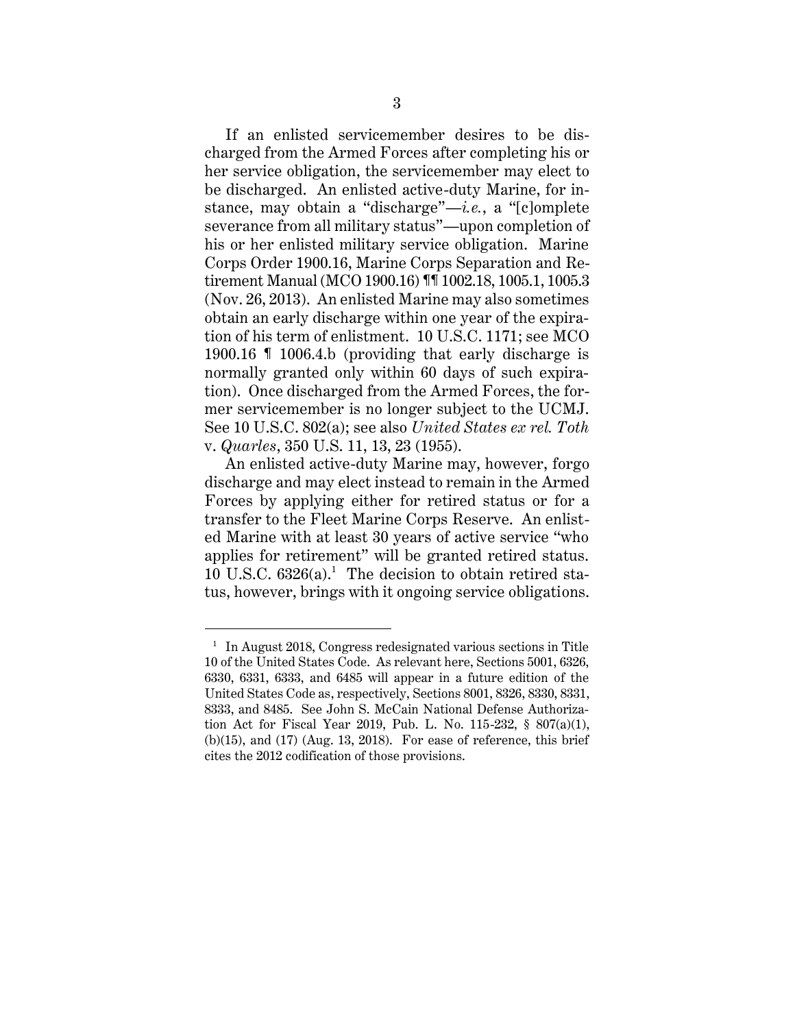If an enlisted servicemember desires to be discharged from the Armed Forces after completing his or her service obligation, the servicemember may elect to be discharged. An enlisted active-duty Marine, for instance, may obtain a "discharge"—*i.e.*, a "[c]omplete severance from all military status"—upon completion of his or her enlisted military service obligation. Marine Corps Order 1900.16, Marine Corps Separation and Retirement Manual (MCO 1900.16) ¶¶ 1002.18, 1005.1, 1005.3 (Nov. 26, 2013). An enlisted Marine may also sometimes obtain an early discharge within one year of the expiration of his term of enlistment. 10 U.S.C. 1171; see MCO 1900.16 ¶ 1006.4.b (providing that early discharge is normally granted only within 60 days of such expiration). Once discharged from the Armed Forces, the former servicemember is no longer subject to the UCMJ. See 10 U.S.C. 802(a); see also *United States ex rel. Toth* v. *Quarles*, 350 U.S. 11, 13, 23 (1955).

An enlisted active-duty Marine may, however, forgo discharge and may elect instead to remain in the Armed Forces by applying either for retired status or for a transfer to the Fleet Marine Corps Reserve. An enlisted Marine with at least 30 years of active service "who applies for retirement" will be granted retired status. 10 U.S.C. 6326(a).<sup>1</sup> The decision to obtain retired status, however, brings with it ongoing service obligations.

 $\overline{a}$ 

<sup>&</sup>lt;sup>1</sup> In August 2018, Congress redesignated various sections in Title 10 of the United States Code. As relevant here, Sections 5001, 6326, 6330, 6331, 6333, and 6485 will appear in a future edition of the United States Code as, respectively, Sections 8001, 8326, 8330, 8331, 8333, and 8485. See John S. McCain National Defense Authorization Act for Fiscal Year 2019, Pub. L. No. 115-232, § 807(a)(1),  $(b)(15)$ , and  $(17)$  (Aug. 13, 2018). For ease of reference, this brief cites the 2012 codification of those provisions.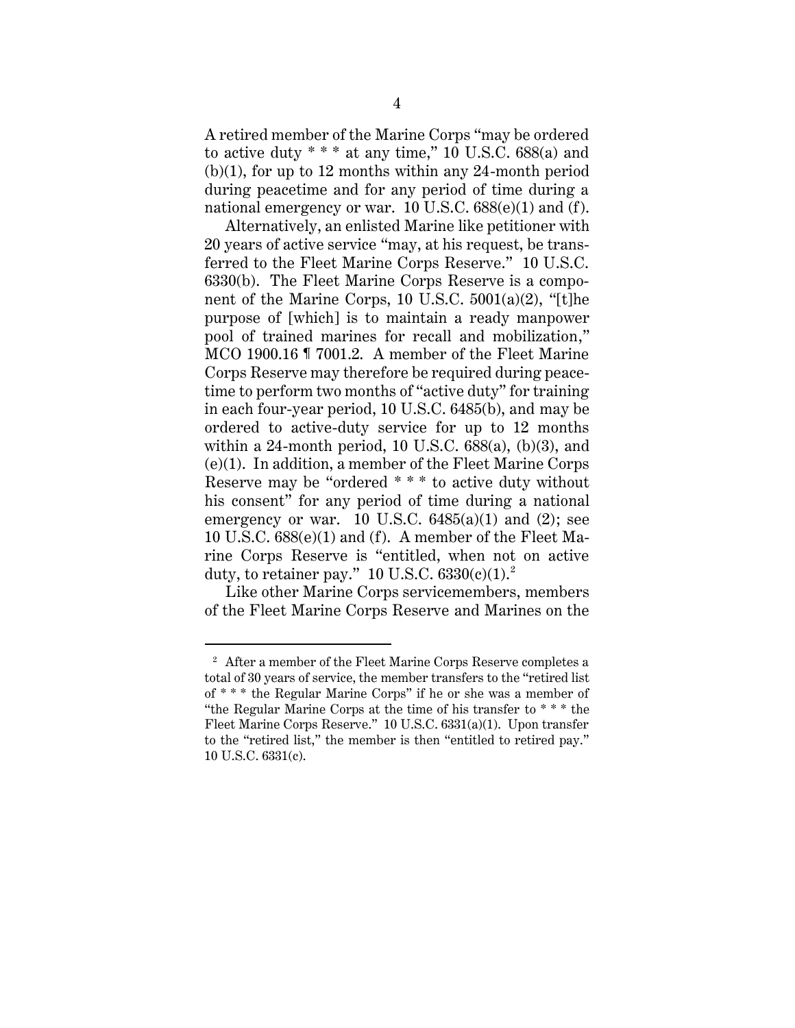A retired member of the Marine Corps "may be ordered to active duty  $***$  at any time," 10 U.S.C. 688(a) and  $(b)(1)$ , for up to 12 months within any 24-month period during peacetime and for any period of time during a national emergency or war. 10 U.S.C. 688(e)(1) and (f).

Alternatively, an enlisted Marine like petitioner with 20 years of active service "may, at his request, be transferred to the Fleet Marine Corps Reserve." 10 U.S.C. 6330(b). The Fleet Marine Corps Reserve is a component of the Marine Corps, 10 U.S.C. 5001(a)(2), "[t]he purpose of [which] is to maintain a ready manpower pool of trained marines for recall and mobilization," MCO 1900.16 ¶ 7001.2. A member of the Fleet Marine Corps Reserve may therefore be required during peacetime to perform two months of "active duty" for training in each four-year period, 10 U.S.C. 6485(b), and may be ordered to active-duty service for up to 12 months within a 24-month period, 10 U.S.C.  $688(a)$ ,  $(b)(3)$ , and (e)(1). In addition, a member of the Fleet Marine Corps Reserve may be "ordered \* \* \* to active duty without his consent" for any period of time during a national emergency or war. 10 U.S.C.  $6485(a)(1)$  and  $(2)$ ; see 10 U.S.C. 688(e)(1) and (f). A member of the Fleet Marine Corps Reserve is "entitled, when not on active duty, to retainer pay." 10 U.S.C.  $6330(c)(1)^2$ 

Like other Marine Corps servicemembers, members of the Fleet Marine Corps Reserve and Marines on the

 $\overline{a}$ 

<sup>&</sup>lt;sup>2</sup> After a member of the Fleet Marine Corps Reserve completes a total of 30 years of service, the member transfers to the "retired list of \* \* \* the Regular Marine Corps" if he or she was a member of "the Regular Marine Corps at the time of his transfer to \* \* \* the Fleet Marine Corps Reserve." 10 U.S.C. 6331(a)(1). Upon transfer to the "retired list," the member is then "entitled to retired pay." 10 U.S.C. 6331(c).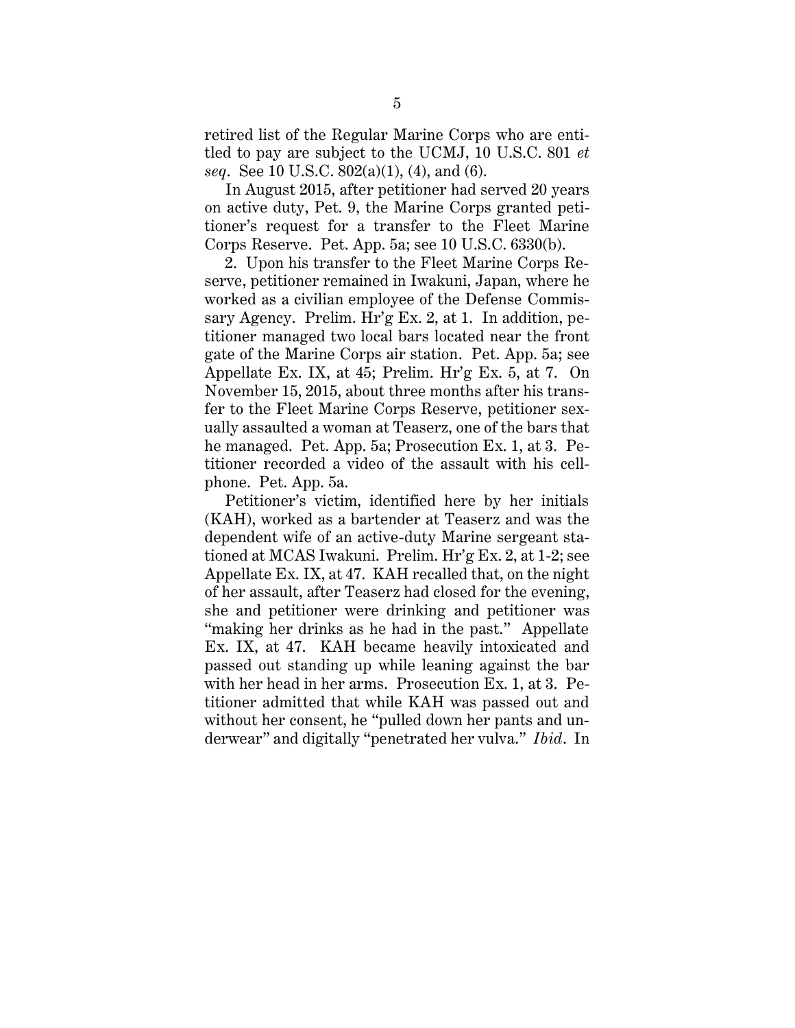retired list of the Regular Marine Corps who are entitled to pay are subject to the UCMJ, 10 U.S.C. 801 *et seq*. See 10 U.S.C. 802(a)(1), (4), and (6).

In August 2015, after petitioner had served 20 years on active duty, Pet. 9, the Marine Corps granted petitioner's request for a transfer to the Fleet Marine Corps Reserve. Pet. App. 5a; see 10 U.S.C. 6330(b).

2. Upon his transfer to the Fleet Marine Corps Reserve, petitioner remained in Iwakuni, Japan, where he worked as a civilian employee of the Defense Commissary Agency. Prelim. Hr'g Ex. 2, at 1. In addition, petitioner managed two local bars located near the front gate of the Marine Corps air station. Pet. App. 5a; see Appellate Ex. IX, at 45; Prelim. Hr'g Ex. 5, at 7. On November 15, 2015, about three months after his transfer to the Fleet Marine Corps Reserve, petitioner sexually assaulted a woman at Teaserz, one of the bars that he managed. Pet. App. 5a; Prosecution Ex. 1, at 3. Petitioner recorded a video of the assault with his cellphone. Pet. App. 5a.

Petitioner's victim, identified here by her initials (KAH), worked as a bartender at Teaserz and was the dependent wife of an active-duty Marine sergeant stationed at MCAS Iwakuni. Prelim. Hr'g Ex. 2, at 1-2; see Appellate Ex. IX, at 47. KAH recalled that, on the night of her assault, after Teaserz had closed for the evening, she and petitioner were drinking and petitioner was "making her drinks as he had in the past." Appellate Ex. IX, at 47. KAH became heavily intoxicated and passed out standing up while leaning against the bar with her head in her arms. Prosecution Ex. 1, at 3. Petitioner admitted that while KAH was passed out and without her consent, he "pulled down her pants and underwear" and digitally "penetrated her vulva." *Ibid*. In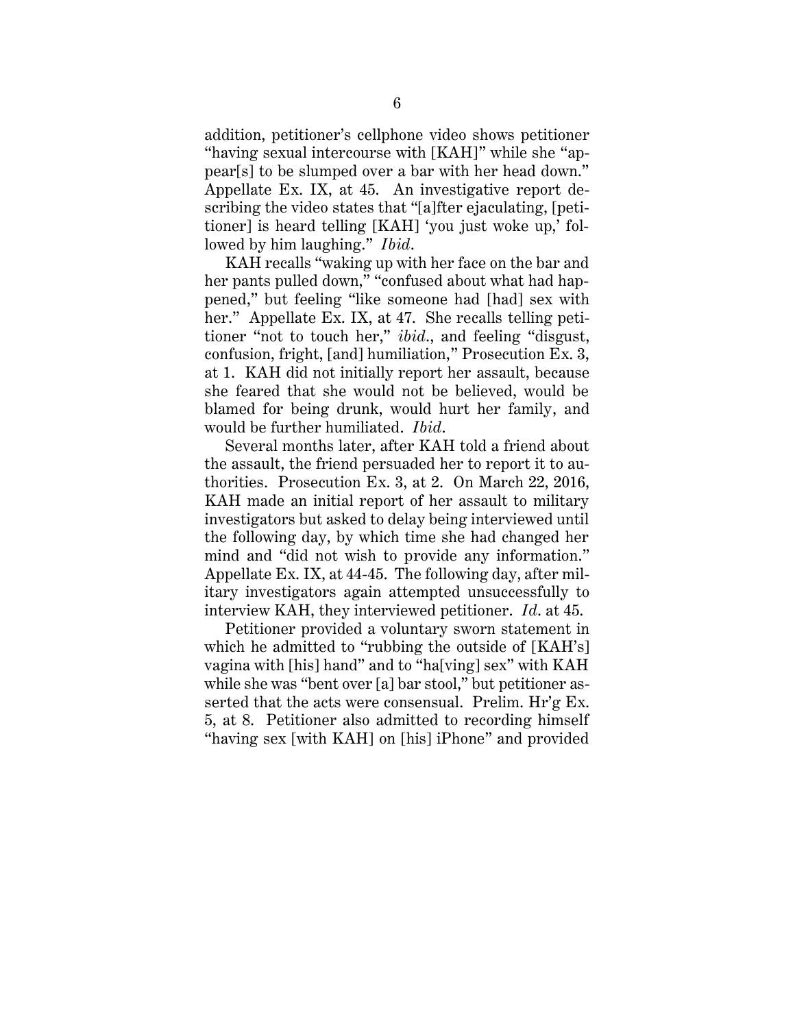addition, petitioner's cellphone video shows petitioner "having sexual intercourse with [KAH]" while she "appear[s] to be slumped over a bar with her head down." Appellate Ex. IX, at 45. An investigative report describing the video states that "[a]fter ejaculating, [petitioner] is heard telling [KAH] 'you just woke up,' followed by him laughing." *Ibid*.

KAH recalls "waking up with her face on the bar and her pants pulled down," "confused about what had happened," but feeling "like someone had [had] sex with her." Appellate Ex. IX, at 47. She recalls telling petitioner "not to touch her," *ibid*., and feeling "disgust, confusion, fright, [and] humiliation," Prosecution Ex. 3, at 1. KAH did not initially report her assault, because she feared that she would not be believed, would be blamed for being drunk, would hurt her family, and would be further humiliated. *Ibid*.

Several months later, after KAH told a friend about the assault, the friend persuaded her to report it to authorities. Prosecution Ex. 3, at 2. On March 22, 2016, KAH made an initial report of her assault to military investigators but asked to delay being interviewed until the following day, by which time she had changed her mind and "did not wish to provide any information." Appellate Ex. IX, at 44-45. The following day, after military investigators again attempted unsuccessfully to interview KAH, they interviewed petitioner. *Id*. at 45.

Petitioner provided a voluntary sworn statement in which he admitted to "rubbing the outside of [KAH's] vagina with [his] hand" and to "ha[ving] sex" with KAH while she was "bent over [a] bar stool," but petitioner asserted that the acts were consensual. Prelim. Hr'g Ex. 5, at 8. Petitioner also admitted to recording himself "having sex [with KAH] on [his] iPhone" and provided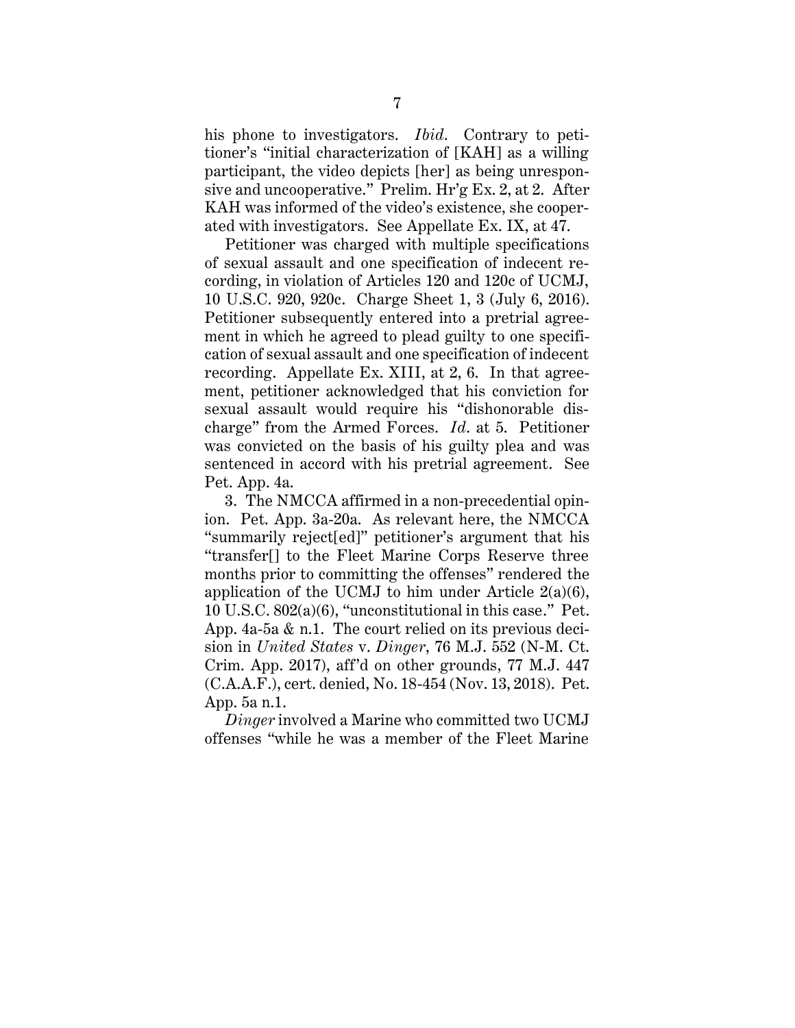his phone to investigators. *Ibid*. Contrary to petitioner's "initial characterization of [KAH] as a willing participant, the video depicts [her] as being unresponsive and uncooperative." Prelim. Hr'g Ex. 2, at 2. After KAH was informed of the video's existence, she cooperated with investigators. See Appellate Ex. IX, at 47.

Petitioner was charged with multiple specifications of sexual assault and one specification of indecent recording, in violation of Articles 120 and 120c of UCMJ, 10 U.S.C. 920, 920c. Charge Sheet 1, 3 (July 6, 2016). Petitioner subsequently entered into a pretrial agreement in which he agreed to plead guilty to one specification of sexual assault and one specification of indecent recording. Appellate Ex. XIII, at 2, 6. In that agreement, petitioner acknowledged that his conviction for sexual assault would require his "dishonorable discharge" from the Armed Forces. *Id*. at 5. Petitioner was convicted on the basis of his guilty plea and was sentenced in accord with his pretrial agreement. See Pet. App. 4a.

3. The NMCCA affirmed in a non-precedential opinion. Pet. App. 3a-20a. As relevant here, the NMCCA "summarily reject[ed]" petitioner's argument that his "transfer[] to the Fleet Marine Corps Reserve three months prior to committing the offenses" rendered the application of the UCMJ to him under Article  $2(a)(6)$ , 10 U.S.C. 802(a)(6), "unconstitutional in this case." Pet. App. 4a-5a & n.1. The court relied on its previous decision in *United States* v. *Dinger*, 76 M.J. 552 (N-M. Ct. Crim. App. 2017), aff'd on other grounds, 77 M.J. 447 (C.A.A.F.), cert. denied, No. 18-454 (Nov. 13, 2018). Pet. App. 5a n.1.

*Dinger* involved a Marine who committed two UCMJ offenses "while he was a member of the Fleet Marine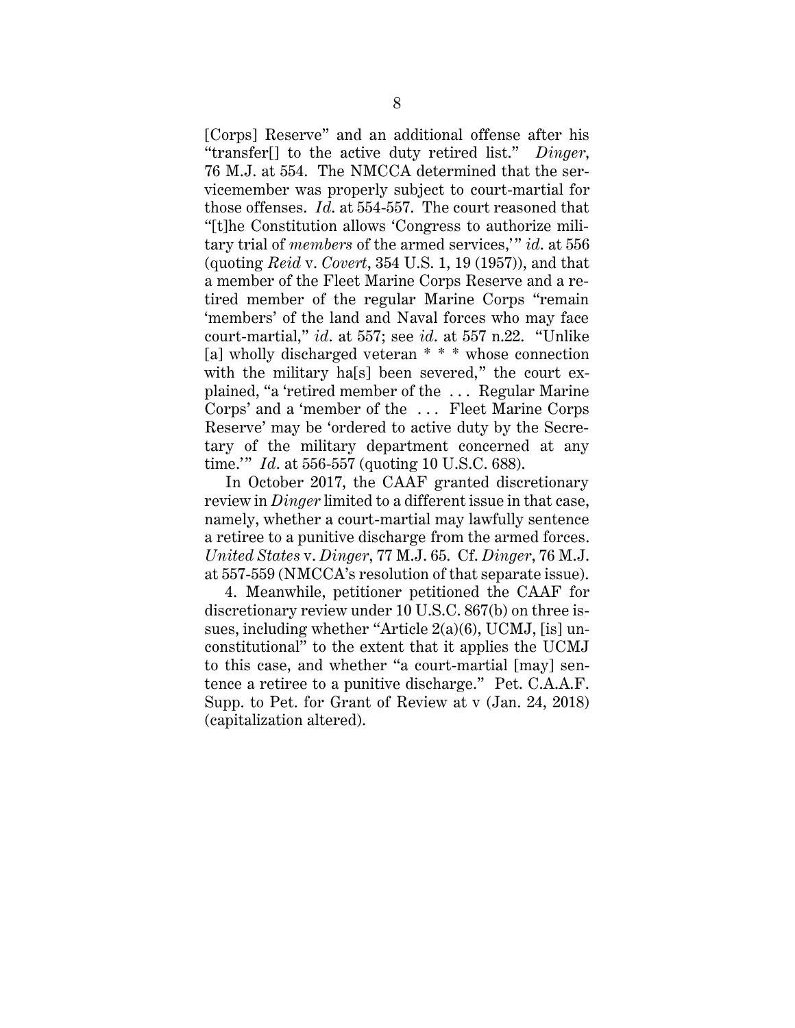[Corps] Reserve" and an additional offense after his "transfer[] to the active duty retired list." *Dinger*, 76 M.J. at 554. The NMCCA determined that the servicemember was properly subject to court-martial for those offenses. *Id*. at 554-557. The court reasoned that "[t]he Constitution allows 'Congress to authorize military trial of *members* of the armed services," *id.* at 556 (quoting *Reid* v. *Covert*, 354 U.S. 1, 19 (1957)), and that a member of the Fleet Marine Corps Reserve and a retired member of the regular Marine Corps "remain 'members' of the land and Naval forces who may face court-martial," *id*. at 557; see *id*. at 557 n.22. "Unlike [a] wholly discharged veteran \* \* \* whose connection with the military has been severed," the court explained, "a 'retired member of the . . . Regular Marine Corps' and a 'member of the . . . Fleet Marine Corps Reserve' may be 'ordered to active duty by the Secretary of the military department concerned at any time.'" *Id*. at 556-557 (quoting 10 U.S.C. 688).

In October 2017, the CAAF granted discretionary review in *Dinger* limited to a different issue in that case, namely, whether a court-martial may lawfully sentence a retiree to a punitive discharge from the armed forces. *United States* v. *Dinger*, 77 M.J. 65. Cf. *Dinger*, 76 M.J. at 557-559 (NMCCA's resolution of that separate issue).

4. Meanwhile, petitioner petitioned the CAAF for discretionary review under 10 U.S.C. 867(b) on three issues, including whether "Article 2(a)(6), UCMJ, [is] unconstitutional" to the extent that it applies the UCMJ to this case, and whether "a court-martial [may] sentence a retiree to a punitive discharge." Pet. C.A.A.F. Supp. to Pet. for Grant of Review at v (Jan. 24, 2018) (capitalization altered).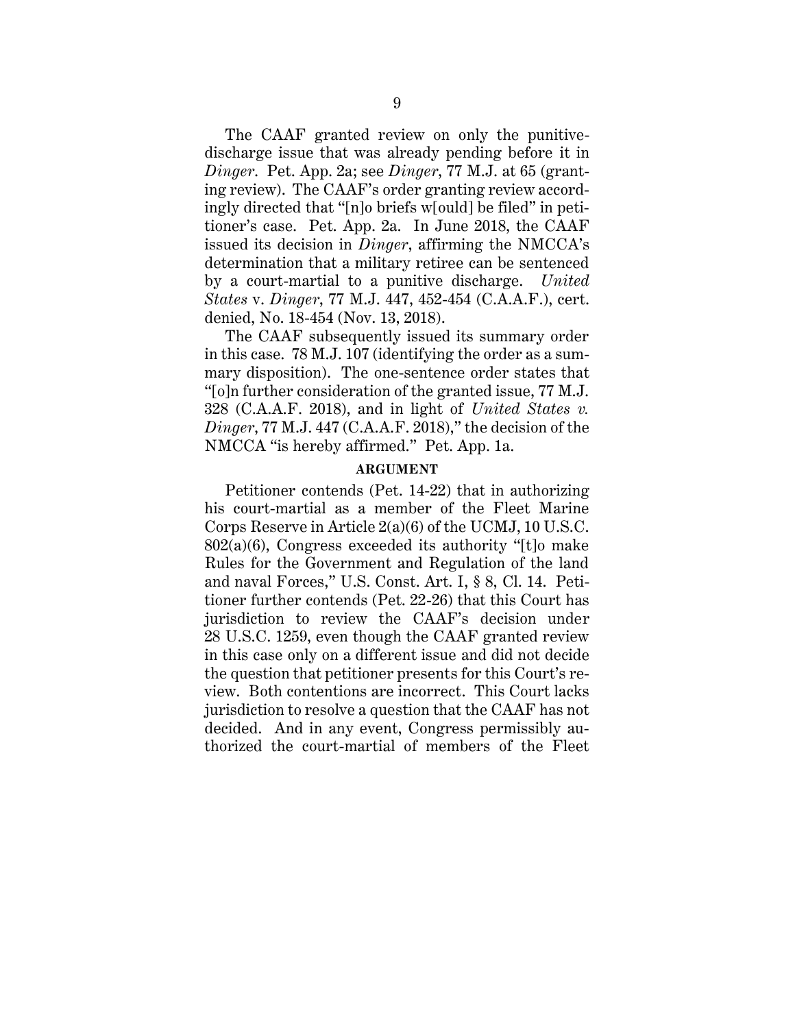The CAAF granted review on only the punitivedischarge issue that was already pending before it in *Dinger*. Pet. App. 2a; see *Dinger*, 77 M.J. at 65 (granting review). The CAAF's order granting review accordingly directed that "[n]o briefs w[ould] be filed" in petitioner's case. Pet. App. 2a. In June 2018, the CAAF issued its decision in *Dinger*, affirming the NMCCA's determination that a military retiree can be sentenced by a court-martial to a punitive discharge. *United States* v. *Dinger*, 77 M.J. 447, 452-454 (C.A.A.F.), cert. denied, No. 18-454 (Nov. 13, 2018).

The CAAF subsequently issued its summary order in this case. 78 M.J. 107 (identifying the order as a summary disposition). The one-sentence order states that "[o]n further consideration of the granted issue, 77 M.J. 328 (C.A.A.F. 2018), and in light of *United States v. Dinger*, 77 M.J. 447 (C.A.A.F. 2018)," the decision of the NMCCA "is hereby affirmed." Pet. App. 1a.

#### **ARGUMENT**

Petitioner contends (Pet. 14-22) that in authorizing his court-martial as a member of the Fleet Marine Corps Reserve in Article 2(a)(6) of the UCMJ, 10 U.S.C. 802(a)(6), Congress exceeded its authority "[t]o make Rules for the Government and Regulation of the land and naval Forces," U.S. Const. Art. I, § 8, Cl. 14. Petitioner further contends (Pet. 22-26) that this Court has jurisdiction to review the CAAF's decision under 28 U.S.C. 1259, even though the CAAF granted review in this case only on a different issue and did not decide the question that petitioner presents for this Court's review. Both contentions are incorrect. This Court lacks jurisdiction to resolve a question that the CAAF has not decided. And in any event, Congress permissibly authorized the court-martial of members of the Fleet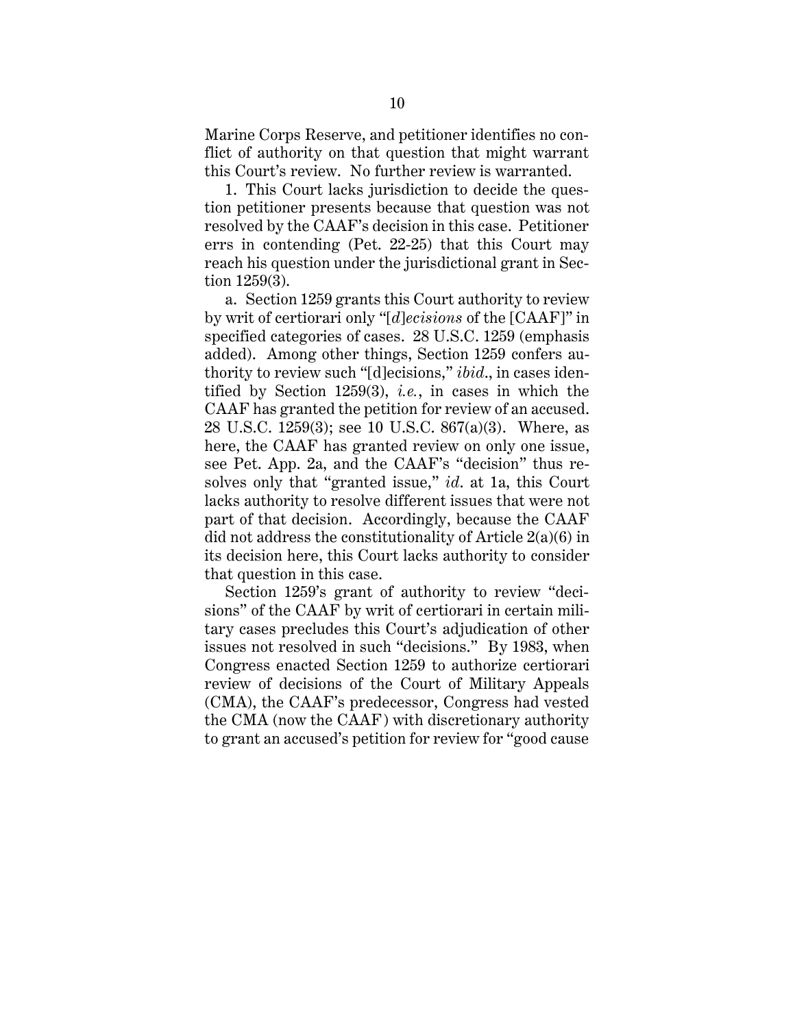Marine Corps Reserve, and petitioner identifies no conflict of authority on that question that might warrant this Court's review. No further review is warranted.

1. This Court lacks jurisdiction to decide the question petitioner presents because that question was not resolved by the CAAF's decision in this case. Petitioner errs in contending (Pet. 22-25) that this Court may reach his question under the jurisdictional grant in Section 1259(3).

a. Section 1259 grants this Court authority to review by writ of certiorari only "[*d*]*ecisions* of the [CAAF]" in specified categories of cases. 28 U.S.C. 1259 (emphasis added). Among other things, Section 1259 confers authority to review such "[d]ecisions," *ibid*., in cases identified by Section 1259(3), *i.e.*, in cases in which the CAAF has granted the petition for review of an accused. 28 U.S.C. 1259(3); see 10 U.S.C. 867(a)(3). Where, as here, the CAAF has granted review on only one issue, see Pet. App. 2a, and the CAAF's "decision" thus resolves only that "granted issue," *id*. at 1a, this Court lacks authority to resolve different issues that were not part of that decision. Accordingly, because the CAAF did not address the constitutionality of Article 2(a)(6) in its decision here, this Court lacks authority to consider that question in this case.

Section 1259's grant of authority to review "decisions" of the CAAF by writ of certiorari in certain military cases precludes this Court's adjudication of other issues not resolved in such "decisions." By 1983, when Congress enacted Section 1259 to authorize certiorari review of decisions of the Court of Military Appeals (CMA), the CAAF's predecessor, Congress had vested the CMA (now the CAAF) with discretionary authority to grant an accused's petition for review for "good cause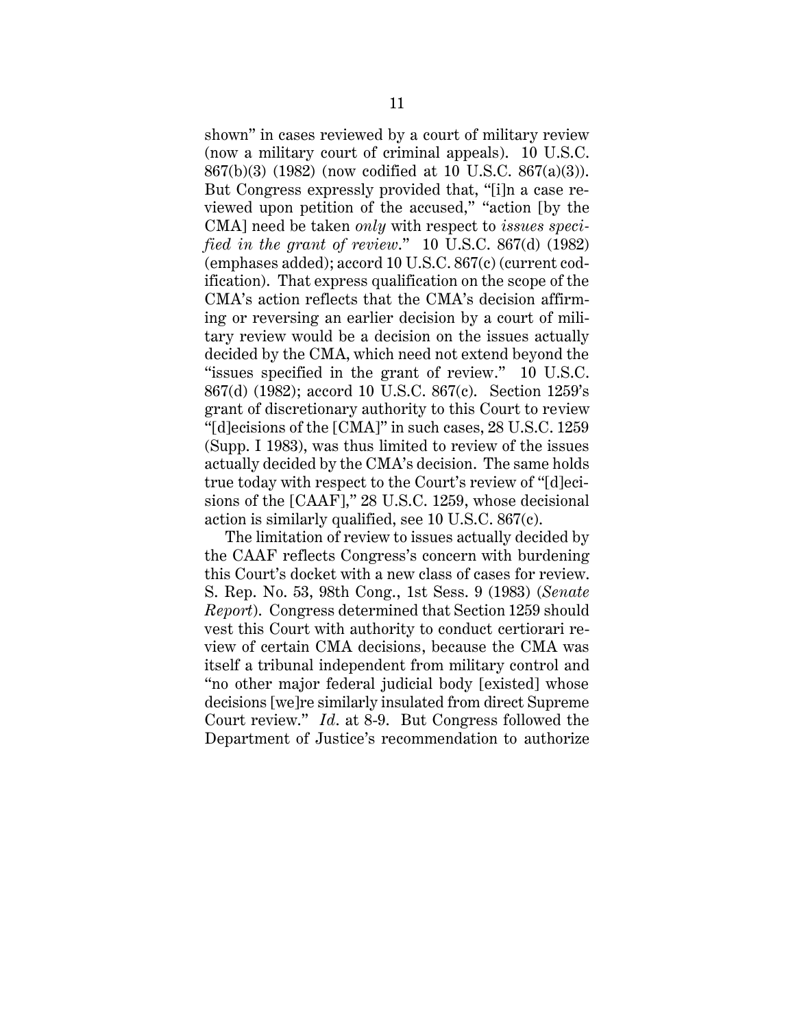shown" in cases reviewed by a court of military review (now a military court of criminal appeals). 10 U.S.C. 867(b)(3) (1982) (now codified at 10 U.S.C. 867(a)(3)). But Congress expressly provided that, "[i]n a case reviewed upon petition of the accused," "action [by the CMA] need be taken *only* with respect to *issues specified in the grant of review*." 10 U.S.C. 867(d) (1982) (emphases added); accord 10 U.S.C. 867(c) (current codification). That express qualification on the scope of the CMA's action reflects that the CMA's decision affirming or reversing an earlier decision by a court of military review would be a decision on the issues actually decided by the CMA, which need not extend beyond the "issues specified in the grant of review." 10 U.S.C. 867(d) (1982); accord 10 U.S.C. 867(c). Section 1259's grant of discretionary authority to this Court to review "[d]ecisions of the [CMA]" in such cases, 28 U.S.C. 1259 (Supp. I 1983), was thus limited to review of the issues actually decided by the CMA's decision. The same holds true today with respect to the Court's review of "[d]ecisions of the [CAAF]," 28 U.S.C. 1259, whose decisional action is similarly qualified, see 10 U.S.C. 867(c).

The limitation of review to issues actually decided by the CAAF reflects Congress's concern with burdening this Court's docket with a new class of cases for review. S. Rep. No. 53, 98th Cong., 1st Sess. 9 (1983) (*Senate Report*). Congress determined that Section 1259 should vest this Court with authority to conduct certiorari review of certain CMA decisions, because the CMA was itself a tribunal independent from military control and "no other major federal judicial body [existed] whose decisions [we]re similarly insulated from direct Supreme Court review." *Id*. at 8-9. But Congress followed the Department of Justice's recommendation to authorize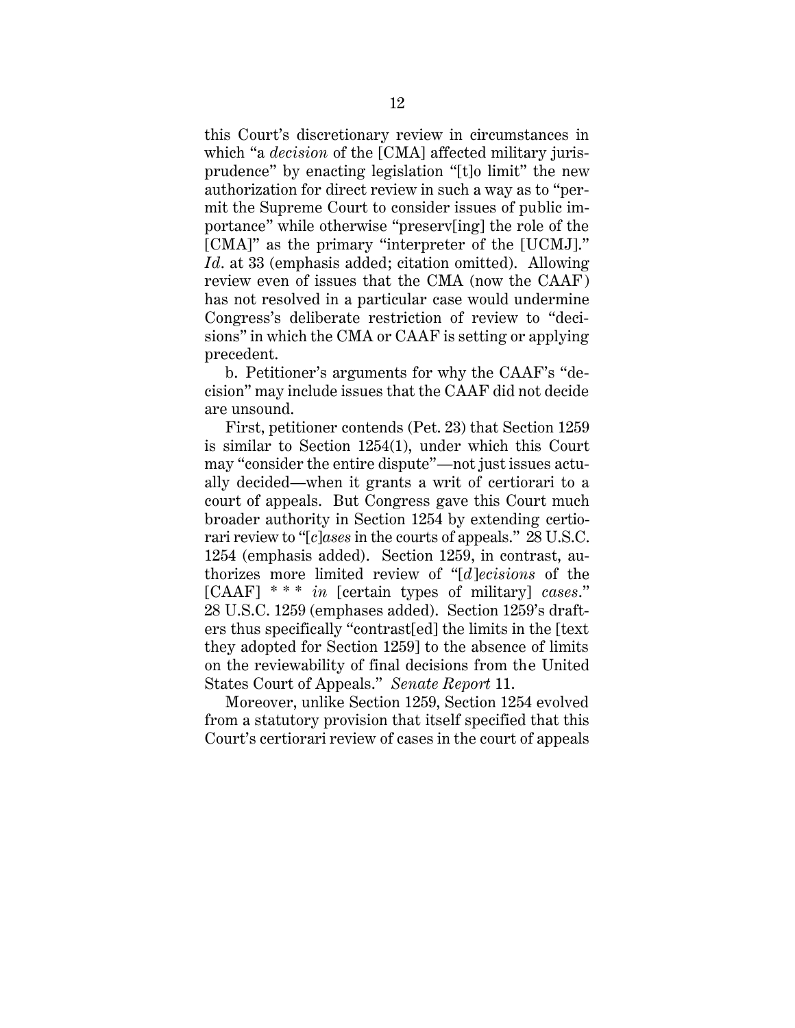this Court's discretionary review in circumstances in which "a *decision* of the [CMA] affected military jurisprudence" by enacting legislation "[t]o limit" the new authorization for direct review in such a way as to "permit the Supreme Court to consider issues of public importance" while otherwise "preserv[ing] the role of the [CMA]" as the primary "interpreter of the [UCMJ]." *Id*. at 33 (emphasis added; citation omitted). Allowing review even of issues that the CMA (now the CAAF) has not resolved in a particular case would undermine Congress's deliberate restriction of review to "decisions" in which the CMA or CAAF is setting or applying precedent.

b. Petitioner's arguments for why the CAAF's "decision" may include issues that the CAAF did not decide are unsound.

First, petitioner contends (Pet. 23) that Section 1259 is similar to Section 1254(1), under which this Court may "consider the entire dispute"—not just issues actually decided—when it grants a writ of certiorari to a court of appeals. But Congress gave this Court much broader authority in Section 1254 by extending certiorari review to "[*c*]*ases* in the courts of appeals." 28 U.S.C. 1254 (emphasis added). Section 1259, in contrast, authorizes more limited review of "[*d*]*ecisions* of the [CAAF] \* \* \* *in* [certain types of military] *cases*." 28 U.S.C. 1259 (emphases added). Section 1259's drafters thus specifically "contrast[ed] the limits in the [text they adopted for Section 1259] to the absence of limits on the reviewability of final decisions from the United States Court of Appeals." *Senate Report* 11.

Moreover, unlike Section 1259, Section 1254 evolved from a statutory provision that itself specified that this Court's certiorari review of cases in the court of appeals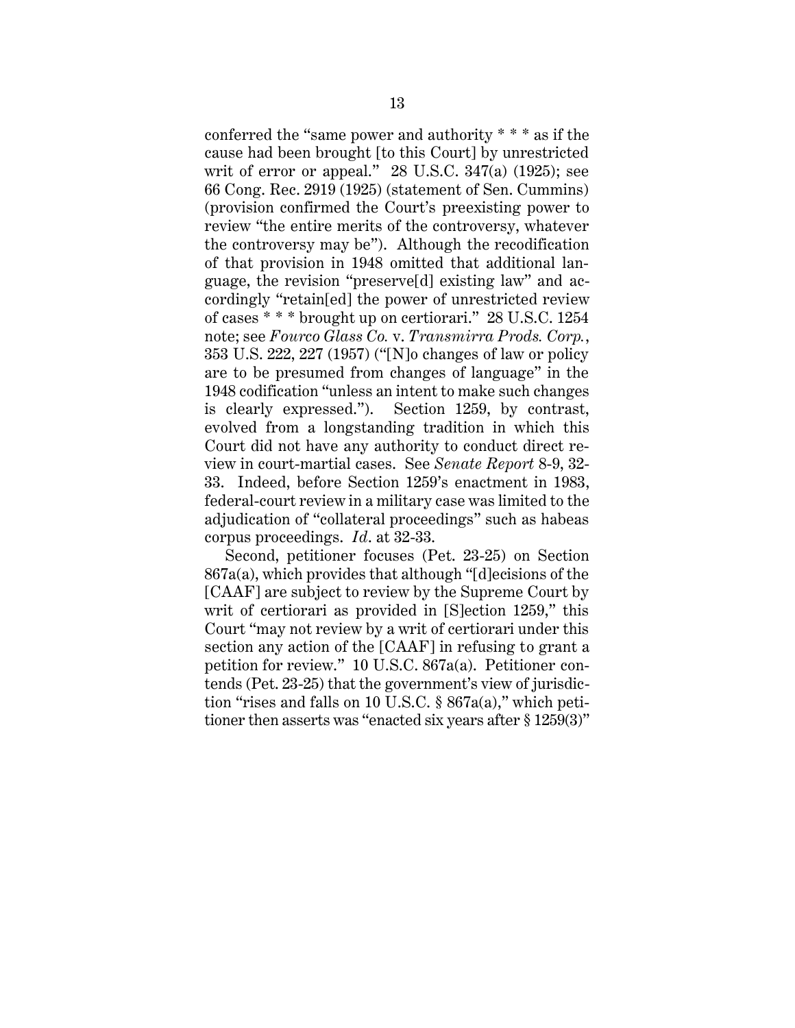conferred the "same power and authority \* \* \* as if the cause had been brought [to this Court] by unrestricted writ of error or appeal." 28 U.S.C. 347(a) (1925); see 66 Cong. Rec. 2919 (1925) (statement of Sen. Cummins) (provision confirmed the Court's preexisting power to review "the entire merits of the controversy, whatever the controversy may be"). Although the recodification of that provision in 1948 omitted that additional language, the revision "preserve[d] existing law" and accordingly "retain[ed] the power of unrestricted review of cases \* \* \* brought up on certiorari." 28 U.S.C. 1254 note; see *Fourco Glass Co.* v. *Transmirra Prods. Corp.*, 353 U.S. 222, 227 (1957) ("[N]o changes of law or policy are to be presumed from changes of language" in the 1948 codification "unless an intent to make such changes is clearly expressed."). Section 1259, by contrast, evolved from a longstanding tradition in which this Court did not have any authority to conduct direct review in court-martial cases. See *Senate Report* 8-9, 32- 33. Indeed, before Section 1259's enactment in 1983, federal-court review in a military case was limited to the adjudication of "collateral proceedings" such as habeas corpus proceedings. *Id*. at 32-33.

Second, petitioner focuses (Pet. 23-25) on Section 867a(a), which provides that although "[d]ecisions of the [CAAF] are subject to review by the Supreme Court by writ of certiorari as provided in [S]ection 1259," this Court "may not review by a writ of certiorari under this section any action of the [CAAF] in refusing to grant a petition for review." 10 U.S.C. 867a(a). Petitioner contends (Pet. 23-25) that the government's view of jurisdiction "rises and falls on 10 U.S.C. § 867a(a)," which petitioner then asserts was "enacted six years after § 1259(3)"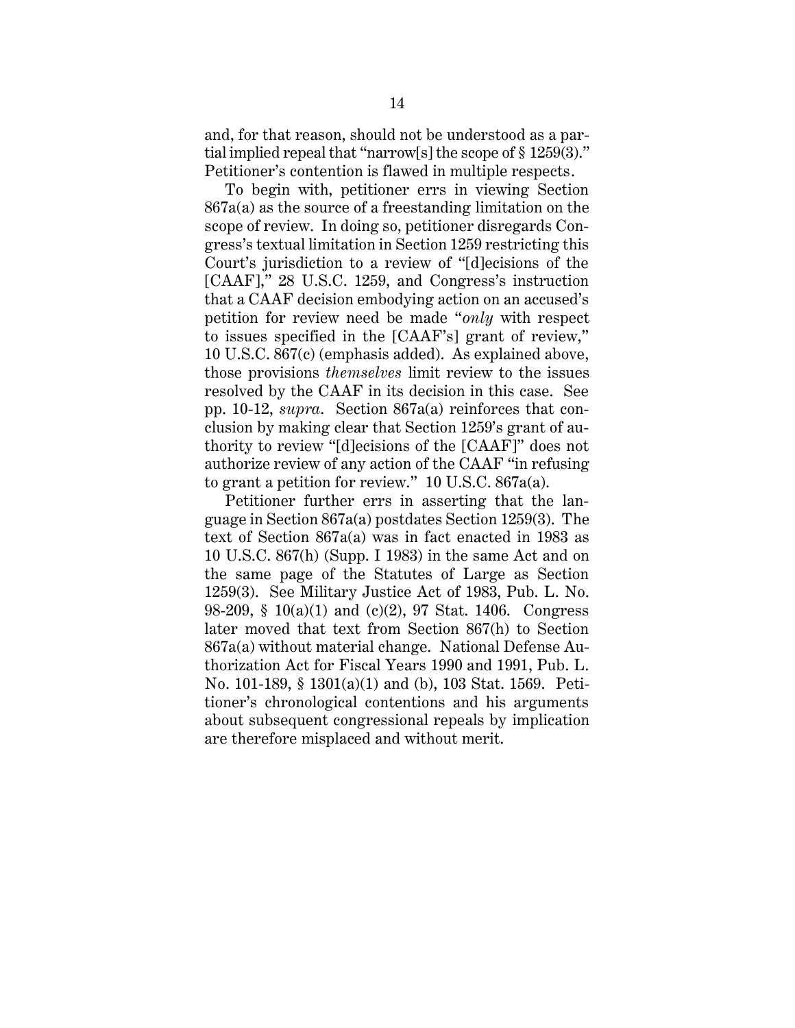and, for that reason, should not be understood as a partial implied repeal that "narrow[s] the scope of § 1259(3)." Petitioner's contention is flawed in multiple respects.

To begin with, petitioner errs in viewing Section 867a(a) as the source of a freestanding limitation on the scope of review. In doing so, petitioner disregards Congress's textual limitation in Section 1259 restricting this Court's jurisdiction to a review of "[d]ecisions of the [CAAF]," 28 U.S.C. 1259, and Congress's instruction that a CAAF decision embodying action on an accused's petition for review need be made "*only* with respect to issues specified in the [CAAF's] grant of review," 10 U.S.C. 867(c) (emphasis added). As explained above, those provisions *themselves* limit review to the issues resolved by the CAAF in its decision in this case. See pp. 10-12, *supra*. Section 867a(a) reinforces that conclusion by making clear that Section 1259's grant of authority to review "[d]ecisions of the [CAAF]" does not authorize review of any action of the CAAF "in refusing to grant a petition for review." 10 U.S.C. 867a(a).

Petitioner further errs in asserting that the language in Section 867a(a) postdates Section 1259(3). The text of Section 867a(a) was in fact enacted in 1983 as 10 U.S.C. 867(h) (Supp. I 1983) in the same Act and on the same page of the Statutes of Large as Section 1259(3). See Military Justice Act of 1983, Pub. L. No. 98-209, § 10(a)(1) and (c)(2), 97 Stat. 1406. Congress later moved that text from Section 867(h) to Section 867a(a) without material change. National Defense Authorization Act for Fiscal Years 1990 and 1991, Pub. L. No. 101-189, § 1301(a)(1) and (b), 103 Stat. 1569. Petitioner's chronological contentions and his arguments about subsequent congressional repeals by implication are therefore misplaced and without merit.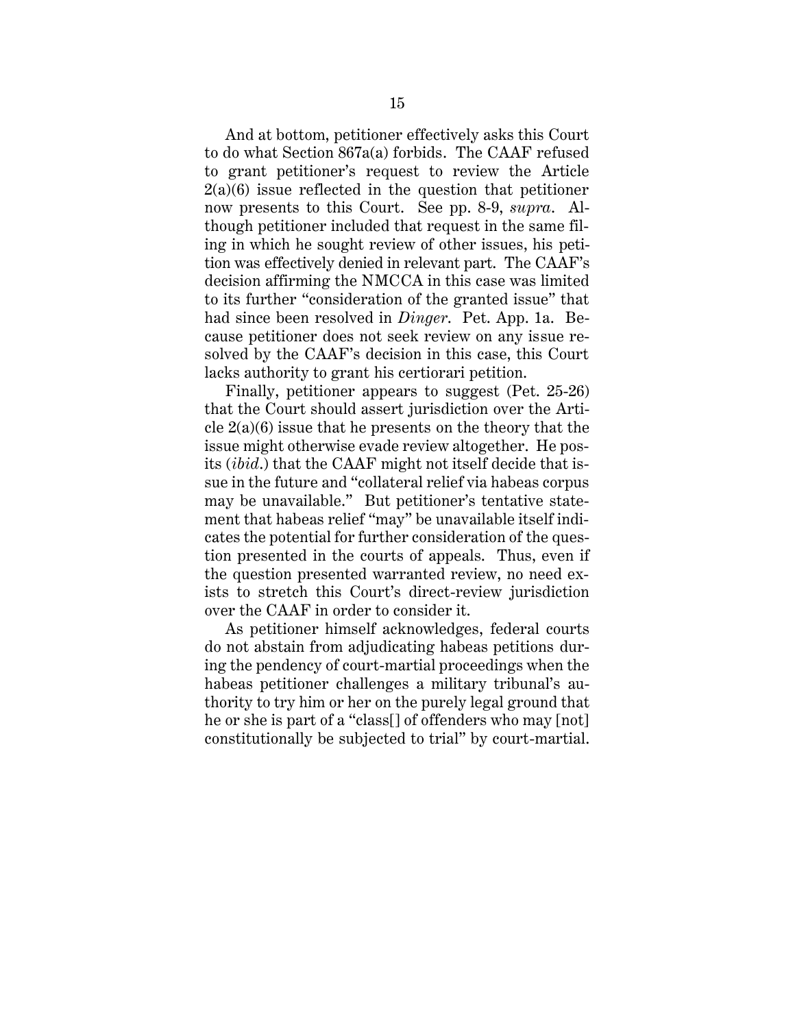And at bottom, petitioner effectively asks this Court to do what Section 867a(a) forbids. The CAAF refused to grant petitioner's request to review the Article  $2(a)(6)$  issue reflected in the question that petitioner now presents to this Court. See pp. 8-9, *supra*. Although petitioner included that request in the same filing in which he sought review of other issues, his petition was effectively denied in relevant part. The CAAF's decision affirming the NMCCA in this case was limited to its further "consideration of the granted issue" that had since been resolved in *Dinger*. Pet. App. 1a. Because petitioner does not seek review on any issue resolved by the CAAF's decision in this case, this Court lacks authority to grant his certiorari petition.

Finally, petitioner appears to suggest (Pet. 25-26) that the Court should assert jurisdiction over the Article  $2(a)(6)$  issue that he presents on the theory that the issue might otherwise evade review altogether. He posits (*ibid*.) that the CAAF might not itself decide that issue in the future and "collateral relief via habeas corpus may be unavailable." But petitioner's tentative statement that habeas relief "may" be unavailable itself indicates the potential for further consideration of the question presented in the courts of appeals. Thus, even if the question presented warranted review, no need exists to stretch this Court's direct-review jurisdiction over the CAAF in order to consider it.

As petitioner himself acknowledges, federal courts do not abstain from adjudicating habeas petitions during the pendency of court-martial proceedings when the habeas petitioner challenges a military tribunal's authority to try him or her on the purely legal ground that he or she is part of a "class[] of offenders who may [not] constitutionally be subjected to trial" by court-martial.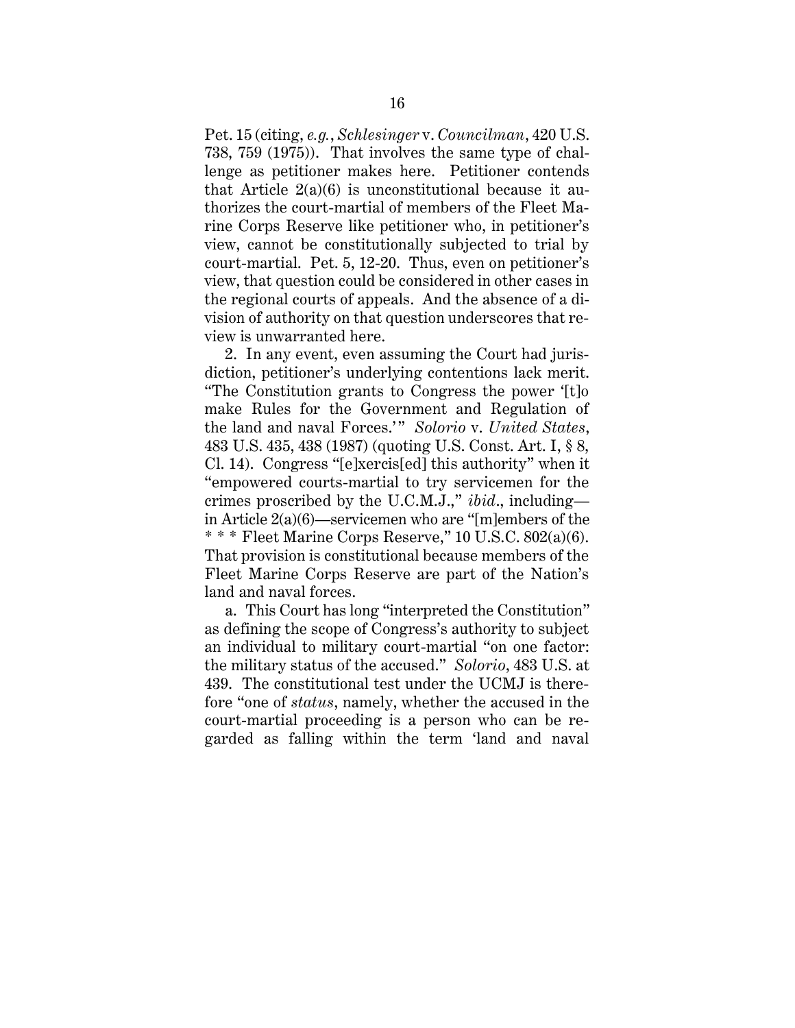Pet. 15 (citing, *e.g.*, *Schlesinger* v. *Councilman*, 420 U.S. 738, 759 (1975)). That involves the same type of challenge as petitioner makes here. Petitioner contends that Article  $2(a)(6)$  is unconstitutional because it authorizes the court-martial of members of the Fleet Marine Corps Reserve like petitioner who, in petitioner's view, cannot be constitutionally subjected to trial by court-martial. Pet. 5, 12-20. Thus, even on petitioner's view, that question could be considered in other cases in the regional courts of appeals. And the absence of a division of authority on that question underscores that review is unwarranted here.

2. In any event, even assuming the Court had jurisdiction, petitioner's underlying contentions lack merit. "The Constitution grants to Congress the power '[t]o make Rules for the Government and Regulation of the land and naval Forces.'" *Solorio* v. *United States*, 483 U.S. 435, 438 (1987) (quoting U.S. Const. Art. I, § 8, Cl. 14). Congress "[e]xercis[ed] this authority" when it "empowered courts-martial to try servicemen for the crimes proscribed by the U.C.M.J.," *ibid*., including in Article 2(a)(6)—servicemen who are "[m]embers of the \* \* \* Fleet Marine Corps Reserve," 10 U.S.C. 802(a)(6). That provision is constitutional because members of the Fleet Marine Corps Reserve are part of the Nation's land and naval forces.

a. This Court has long "interpreted the Constitution" as defining the scope of Congress's authority to subject an individual to military court-martial "on one factor: the military status of the accused." *Solorio*, 483 U.S. at 439. The constitutional test under the UCMJ is therefore "one of *status*, namely, whether the accused in the court-martial proceeding is a person who can be regarded as falling within the term 'land and naval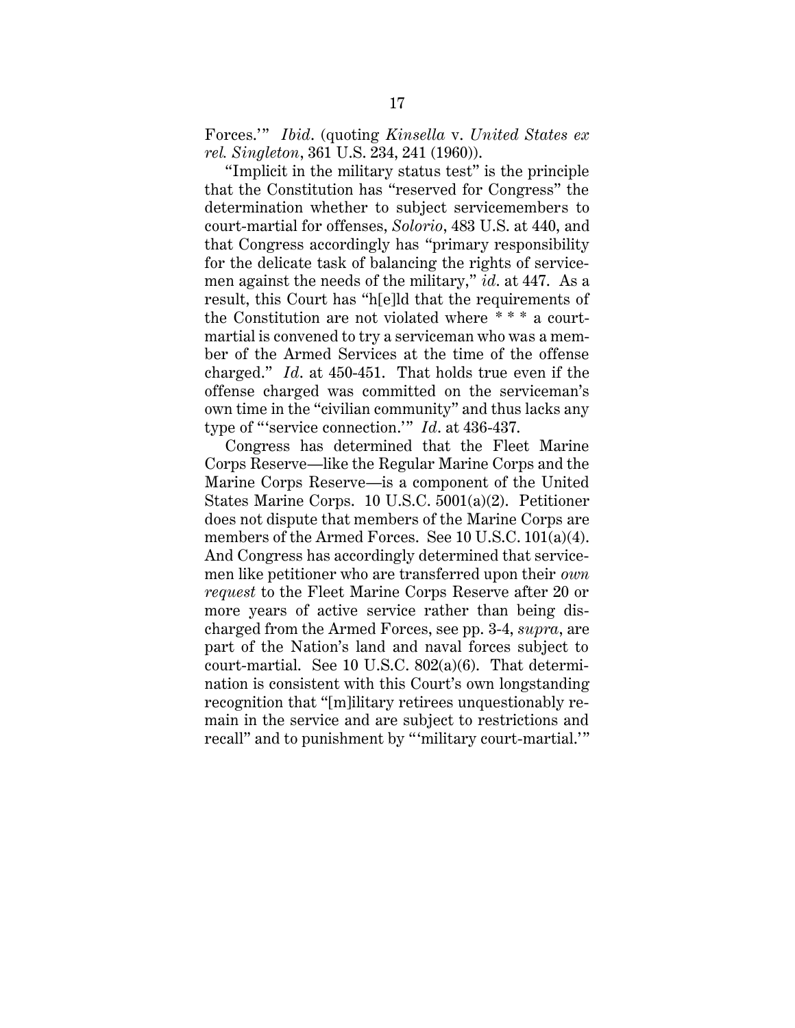Forces.'" *Ibid*. (quoting *Kinsella* v. *United States ex rel. Singleton*, 361 U.S. 234, 241 (1960)).

"Implicit in the military status test" is the principle that the Constitution has "reserved for Congress" the determination whether to subject servicemembers to court-martial for offenses, *Solorio*, 483 U.S. at 440, and that Congress accordingly has "primary responsibility for the delicate task of balancing the rights of servicemen against the needs of the military," *id*. at 447. As a result, this Court has "h[e]ld that the requirements of the Constitution are not violated where \* \* \* a courtmartial is convened to try a serviceman who was a member of the Armed Services at the time of the offense charged." *Id*. at 450-451. That holds true even if the offense charged was committed on the serviceman's own time in the "civilian community" and thus lacks any type of "'service connection.'" *Id*. at 436-437.

Congress has determined that the Fleet Marine Corps Reserve—like the Regular Marine Corps and the Marine Corps Reserve—is a component of the United States Marine Corps. 10 U.S.C. 5001(a)(2). Petitioner does not dispute that members of the Marine Corps are members of the Armed Forces. See 10 U.S.C. 101(a)(4). And Congress has accordingly determined that servicemen like petitioner who are transferred upon their *own request* to the Fleet Marine Corps Reserve after 20 or more years of active service rather than being discharged from the Armed Forces, see pp. 3-4, *supra*, are part of the Nation's land and naval forces subject to court-martial. See 10 U.S.C. 802(a)(6). That determination is consistent with this Court's own longstanding recognition that "[m]ilitary retirees unquestionably remain in the service and are subject to restrictions and recall" and to punishment by "'military court-martial.'"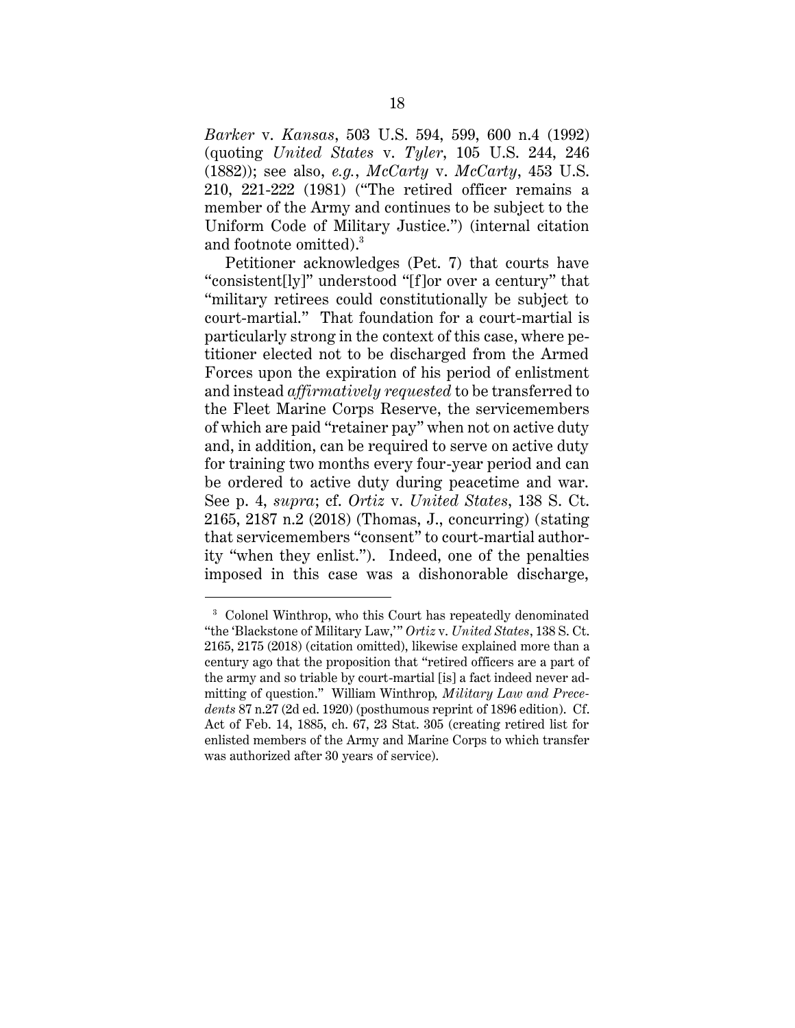*Barker* v. *Kansas*, 503 U.S. 594, 599, 600 n.4 (1992) (quoting *United States* v. *Tyler*, 105 U.S. 244, 246 (1882)); see also, *e.g.*, *McCarty* v. *McCarty*, 453 U.S. 210, 221-222 (1981) ("The retired officer remains a member of the Army and continues to be subject to the Uniform Code of Military Justice.") (internal citation and footnote omitted). 3

Petitioner acknowledges (Pet. 7) that courts have "consistent[ly]" understood "[f]or over a century" that "military retirees could constitutionally be subject to court-martial." That foundation for a court-martial is particularly strong in the context of this case, where petitioner elected not to be discharged from the Armed Forces upon the expiration of his period of enlistment and instead *affirmatively requested* to be transferred to the Fleet Marine Corps Reserve, the servicemembers of which are paid "retainer pay" when not on active duty and, in addition, can be required to serve on active duty for training two months every four-year period and can be ordered to active duty during peacetime and war. See p. 4, *supra*; cf. *Ortiz* v. *United States*, 138 S. Ct. 2165, 2187 n.2 (2018) (Thomas, J., concurring) (stating that servicemembers "consent" to court-martial authority "when they enlist."). Indeed, one of the penalties imposed in this case was a dishonorable discharge,

 $\overline{a}$ 

<sup>&</sup>lt;sup>3</sup> Colonel Winthrop, who this Court has repeatedly denominated "the 'Blackstone of Military Law,'" *Ortiz* v. *United States*, 138 S. Ct. 2165, 2175 (2018) (citation omitted), likewise explained more than a century ago that the proposition that "retired officers are a part of the army and so triable by court-martial [is] a fact indeed never admitting of question." William Winthrop*, Military Law and Precedents* 87 n.27 (2d ed. 1920) (posthumous reprint of 1896 edition). Cf. Act of Feb. 14, 1885, ch. 67, 23 Stat. 305 (creating retired list for enlisted members of the Army and Marine Corps to which transfer was authorized after 30 years of service).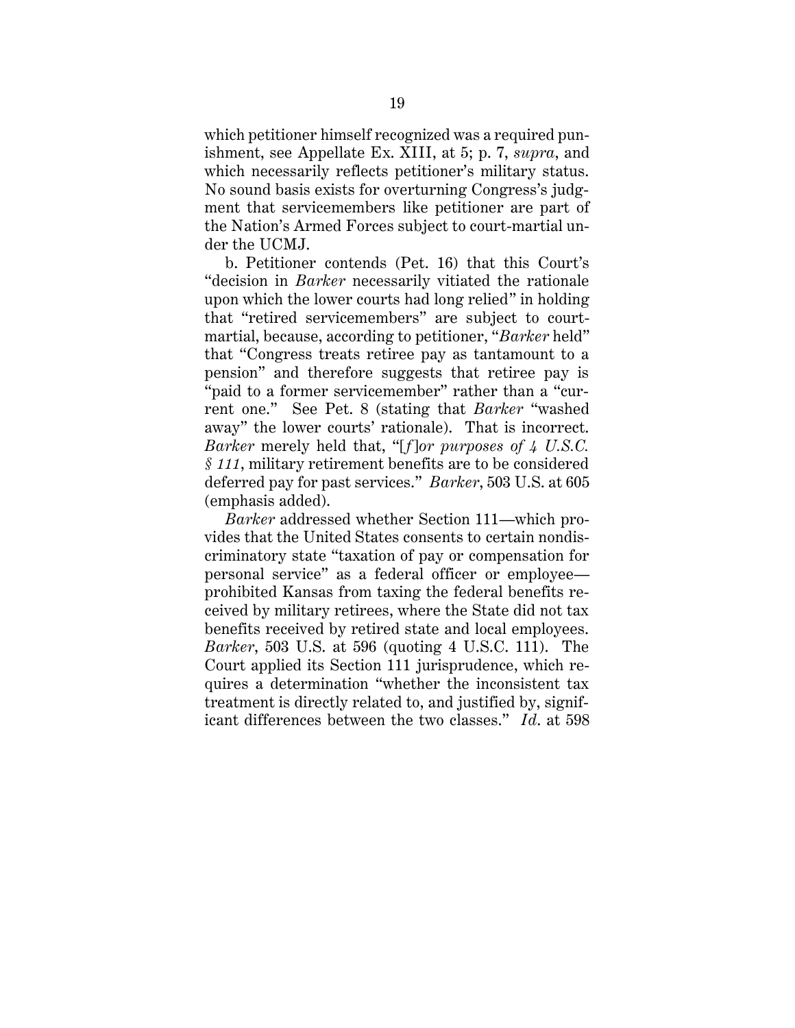which petitioner himself recognized was a required punishment, see Appellate Ex. XIII, at 5; p. 7, *supra*, and which necessarily reflects petitioner's military status. No sound basis exists for overturning Congress's judgment that servicemembers like petitioner are part of the Nation's Armed Forces subject to court-martial under the UCMJ.

b. Petitioner contends (Pet. 16) that this Court's "decision in *Barker* necessarily vitiated the rationale upon which the lower courts had long relied" in holding that "retired servicemembers" are subject to courtmartial, because, according to petitioner, "*Barker* held" that "Congress treats retiree pay as tantamount to a pension" and therefore suggests that retiree pay is "paid to a former servicemember" rather than a "current one." See Pet. 8 (stating that *Barker* "washed away" the lower courts' rationale). That is incorrect. *Barker* merely held that, "[*f*]*or purposes of 4 U.S.C. § 111*, military retirement benefits are to be considered deferred pay for past services." *Barker*, 503 U.S. at 605 (emphasis added).

*Barker* addressed whether Section 111—which provides that the United States consents to certain nondiscriminatory state "taxation of pay or compensation for personal service" as a federal officer or employee prohibited Kansas from taxing the federal benefits received by military retirees, where the State did not tax benefits received by retired state and local employees. *Barker*, 503 U.S. at 596 (quoting 4 U.S.C. 111). The Court applied its Section 111 jurisprudence, which requires a determination "whether the inconsistent tax treatment is directly related to, and justified by, significant differences between the two classes." *Id*. at 598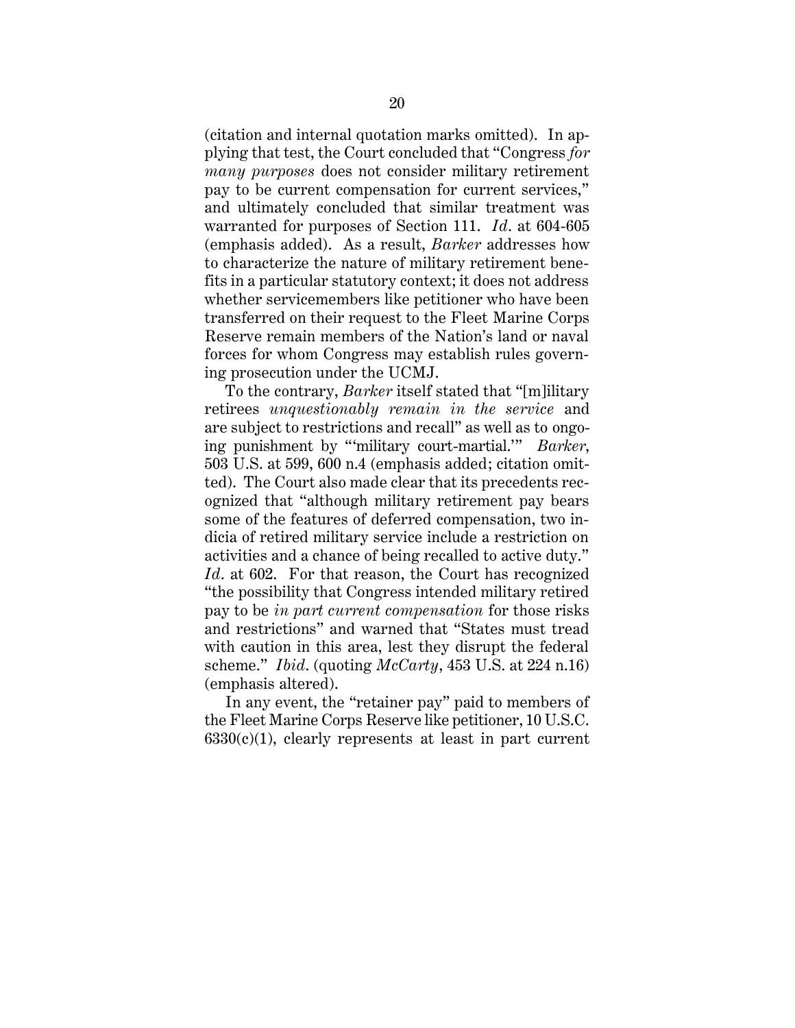(citation and internal quotation marks omitted). In applying that test, the Court concluded that "Congress *for many purposes* does not consider military retirement pay to be current compensation for current services," and ultimately concluded that similar treatment was warranted for purposes of Section 111. *Id*. at 604-605 (emphasis added). As a result, *Barker* addresses how to characterize the nature of military retirement benefits in a particular statutory context; it does not address whether servicemembers like petitioner who have been transferred on their request to the Fleet Marine Corps Reserve remain members of the Nation's land or naval forces for whom Congress may establish rules governing prosecution under the UCMJ.

To the contrary, *Barker* itself stated that "[m]ilitary retirees *unquestionably remain in the service* and are subject to restrictions and recall" as well as to ongoing punishment by "'military court-martial.'" *Barker*, 503 U.S. at 599, 600 n.4 (emphasis added; citation omitted). The Court also made clear that its precedents recognized that "although military retirement pay bears some of the features of deferred compensation, two indicia of retired military service include a restriction on activities and a chance of being recalled to active duty." *Id*. at 602. For that reason, the Court has recognized "the possibility that Congress intended military retired pay to be *in part current compensation* for those risks and restrictions" and warned that "States must tread with caution in this area, lest they disrupt the federal scheme." *Ibid*. (quoting *McCarty*, 453 U.S. at 224 n.16) (emphasis altered).

In any event, the "retainer pay" paid to members of the Fleet Marine Corps Reserve like petitioner, 10 U.S.C.  $6330(c)(1)$ , clearly represents at least in part current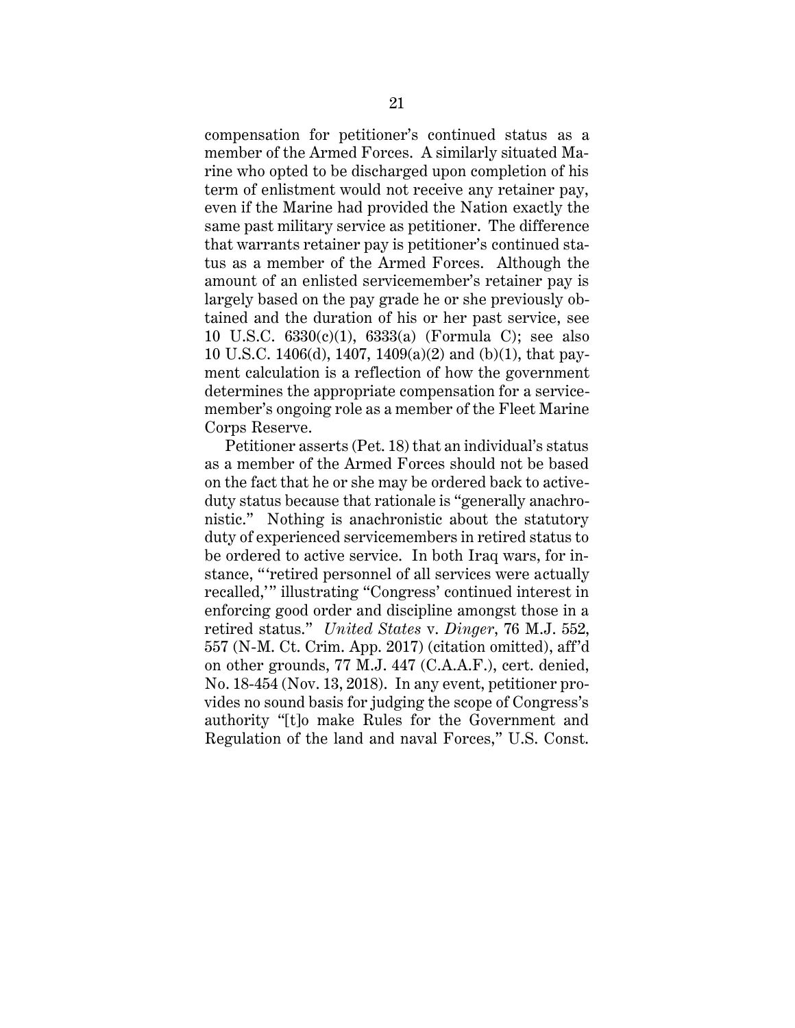compensation for petitioner's continued status as a member of the Armed Forces. A similarly situated Marine who opted to be discharged upon completion of his term of enlistment would not receive any retainer pay, even if the Marine had provided the Nation exactly the same past military service as petitioner. The difference that warrants retainer pay is petitioner's continued status as a member of the Armed Forces. Although the amount of an enlisted servicemember's retainer pay is largely based on the pay grade he or she previously obtained and the duration of his or her past service, see 10 U.S.C. 6330(c)(1), 6333(a) (Formula C); see also 10 U.S.C. 1406(d), 1407, 1409(a)(2) and (b)(1), that payment calculation is a reflection of how the government determines the appropriate compensation for a servicemember's ongoing role as a member of the Fleet Marine Corps Reserve.

Petitioner asserts (Pet. 18) that an individual's status as a member of the Armed Forces should not be based on the fact that he or she may be ordered back to activeduty status because that rationale is "generally anachronistic." Nothing is anachronistic about the statutory duty of experienced servicemembers in retired status to be ordered to active service. In both Iraq wars, for instance, "'retired personnel of all services were actually recalled,''' illustrating "Congress' continued interest in enforcing good order and discipline amongst those in a retired status." *United States* v. *Dinger*, 76 M.J. 552, 557 (N-M. Ct. Crim. App. 2017) (citation omitted), aff'd on other grounds, 77 M.J. 447 (C.A.A.F.), cert. denied, No. 18-454 (Nov. 13, 2018). In any event, petitioner provides no sound basis for judging the scope of Congress's authority "[t]o make Rules for the Government and Regulation of the land and naval Forces," U.S. Const.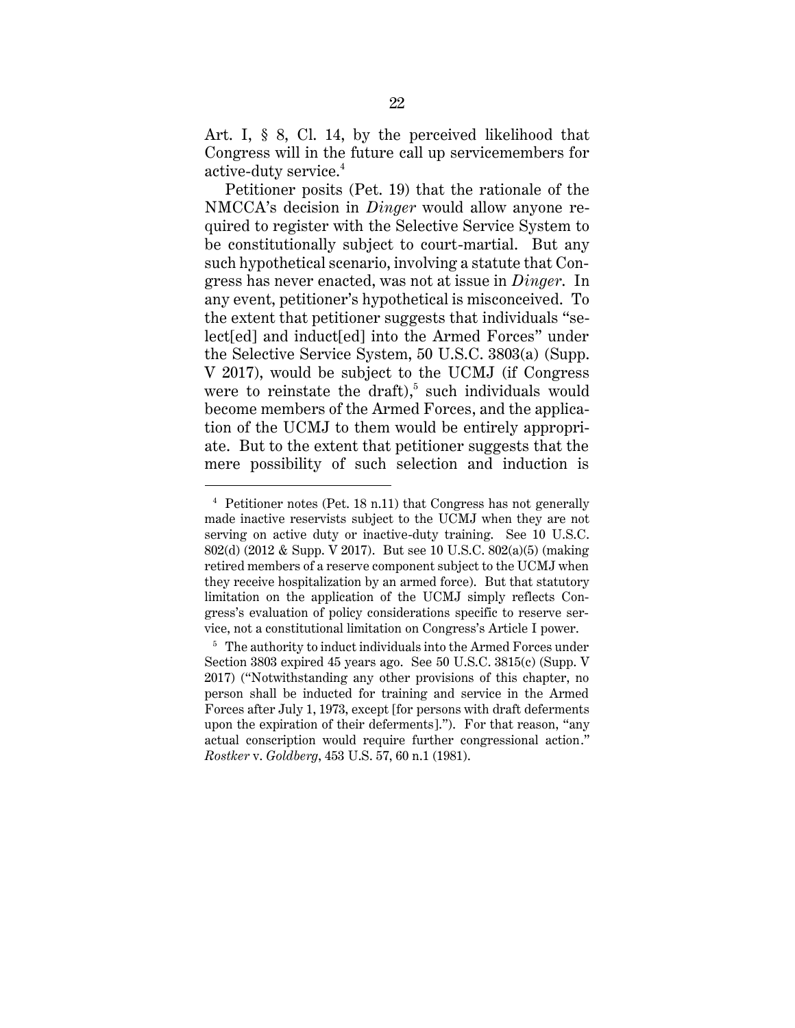Art. I, § 8, Cl. 14, by the perceived likelihood that Congress will in the future call up servicemembers for active-duty service.<sup>4</sup>

Petitioner posits (Pet. 19) that the rationale of the NMCCA's decision in *Dinger* would allow anyone required to register with the Selective Service System to be constitutionally subject to court-martial. But any such hypothetical scenario, involving a statute that Congress has never enacted, was not at issue in *Dinger*. In any event, petitioner's hypothetical is misconceived. To the extent that petitioner suggests that individuals "select[ed] and induct[ed] into the Armed Forces" under the Selective Service System, 50 U.S.C. 3803(a) (Supp. V 2017), would be subject to the UCMJ (if Congress were to reinstate the draft), 5 such individuals would become members of the Armed Forces, and the application of the UCMJ to them would be entirely appropriate. But to the extent that petitioner suggests that the mere possibility of such selection and induction is

 $\ddot{\phantom{a}}$ 

<sup>4</sup> Petitioner notes (Pet. 18 n.11) that Congress has not generally made inactive reservists subject to the UCMJ when they are not serving on active duty or inactive-duty training. See 10 U.S.C. 802(d) (2012 & Supp. V 2017). But see 10 U.S.C. 802(a)(5) (making retired members of a reserve component subject to the UCMJ when they receive hospitalization by an armed force). But that statutory limitation on the application of the UCMJ simply reflects Congress's evaluation of policy considerations specific to reserve service, not a constitutional limitation on Congress's Article I power.

<sup>&</sup>lt;sup>5</sup> The authority to induct individuals into the Armed Forces under Section 3803 expired 45 years ago. See 50 U.S.C. 3815(c) (Supp. V 2017) ("Notwithstanding any other provisions of this chapter, no person shall be inducted for training and service in the Armed Forces after July 1, 1973, except [for persons with draft deferments upon the expiration of their deferments]."). For that reason, "any actual conscription would require further congressional action." *Rostker* v. *Goldberg*, 453 U.S. 57, 60 n.1 (1981).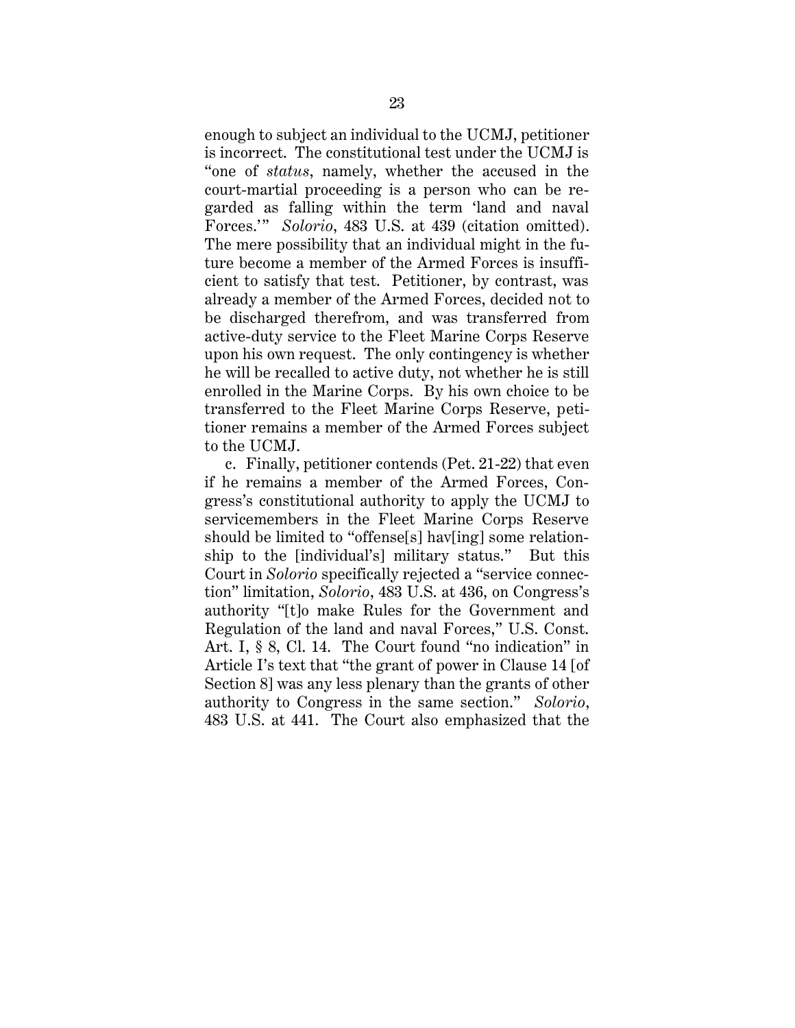enough to subject an individual to the UCMJ, petitioner is incorrect. The constitutional test under the UCMJ is "one of *status*, namely, whether the accused in the court-martial proceeding is a person who can be regarded as falling within the term 'land and naval Forces.'" *Solorio*, 483 U.S. at 439 (citation omitted). The mere possibility that an individual might in the future become a member of the Armed Forces is insufficient to satisfy that test. Petitioner, by contrast, was already a member of the Armed Forces, decided not to be discharged therefrom, and was transferred from active-duty service to the Fleet Marine Corps Reserve upon his own request. The only contingency is whether he will be recalled to active duty, not whether he is still enrolled in the Marine Corps. By his own choice to be transferred to the Fleet Marine Corps Reserve, petitioner remains a member of the Armed Forces subject to the UCMJ.

c. Finally, petitioner contends (Pet. 21-22) that even if he remains a member of the Armed Forces, Congress's constitutional authority to apply the UCMJ to servicemembers in the Fleet Marine Corps Reserve should be limited to "offense<sup>[s]</sup> hav[ing] some relationship to the [individual's] military status." But this Court in *Solorio* specifically rejected a "service connection" limitation, *Solorio*, 483 U.S. at 436, on Congress's authority "[t]o make Rules for the Government and Regulation of the land and naval Forces," U.S. Const. Art. I, § 8, Cl. 14. The Court found "no indication" in Article I's text that "the grant of power in Clause 14 [of Section 8] was any less plenary than the grants of other authority to Congress in the same section." *Solorio*, 483 U.S. at 441. The Court also emphasized that the